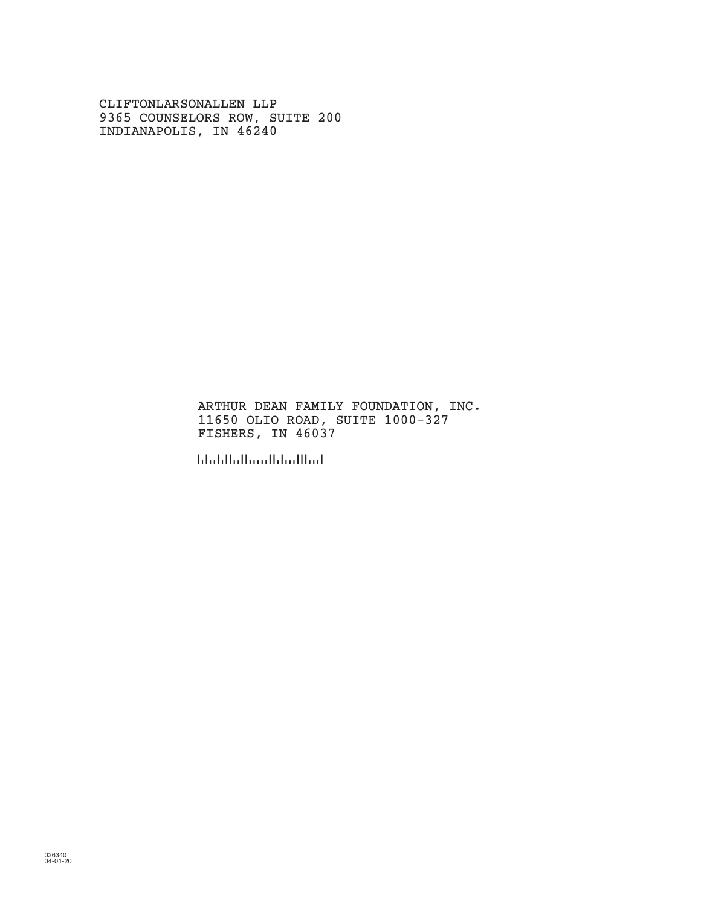CLIFTONLARSONALLEN LLP 9365 COUNSELORS ROW, SUITE 200 INDIANAPOLIS, IN 46240

> ARTHUR DEAN FAMILY FOUNDATION, INC. 11650 OLIO ROAD, SUITE 1000-327 FISHERS, IN 46037

!460370!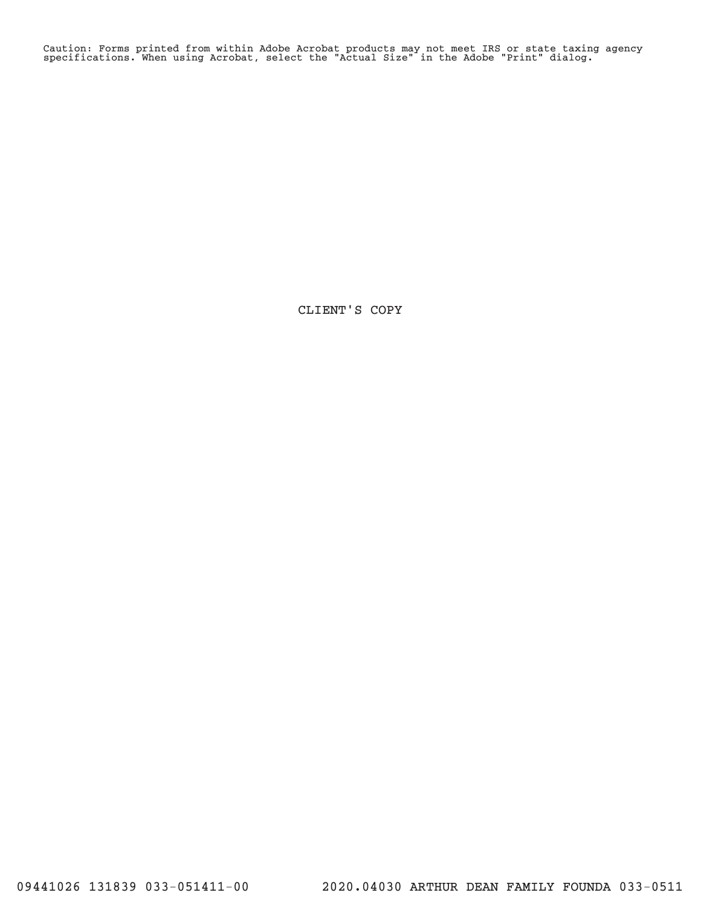Caution: Forms printed from within Adobe Acrobat products may not meet IRS or state taxing agency specifications. When using Acrobat, select the "Actual Size" in the Adobe "Print" dialog.

CLIENT'S COPY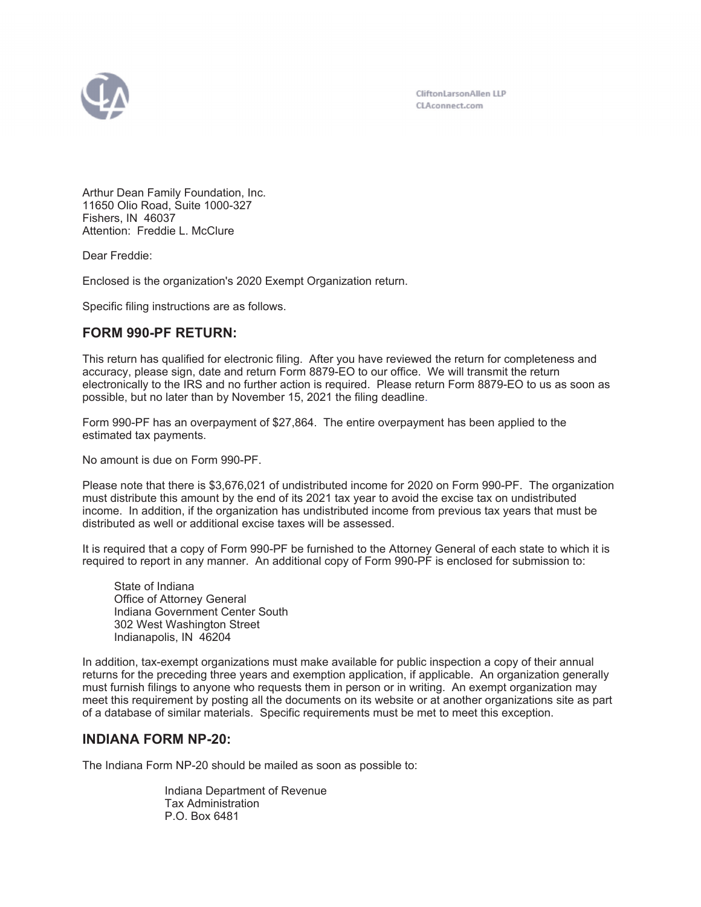

CliftonLarsonAllen LLP CLAconnect.com

Arthur Dean Family Foundation, Inc. 11650 Olio Road, Suite 1000-327 Fishers, IN 46037 Attention: Freddie L. McClure

Dear Freddie:

Enclosed is the organization's 2020 Exempt Organization return.

Specific filing instructions are as follows.

# **FORM 990-PF RETURN:**

This return has qualified for electronic filing. After you have reviewed the return for completeness and accuracy, please sign, date and return Form 8879-EO to our office. We will transmit the return electronically to the IRS and no further action is required. Please return Form 8879-EO to us as soon as possible, but no later than by November 15, 2021 the filing deadline.

Form 990-PF has an overpayment of \$27,864. The entire overpayment has been applied to the estimated tax payments.

No amount is due on Form 990-PF.

Please note that there is \$3,676,021 of undistributed income for 2020 on Form 990-PF. The organization must distribute this amount by the end of its 2021 tax year to avoid the excise tax on undistributed income. In addition, if the organization has undistributed income from previous tax years that must be distributed as well or additional excise taxes will be assessed.

It is required that a copy of Form 990-PF be furnished to the Attorney General of each state to which it is required to report in any manner. An additional copy of Form 990-PF is enclosed for submission to:

 State of Indiana Office of Attorney General Indiana Government Center South 302 West Washington Street Indianapolis, IN 46204

In addition, tax-exempt organizations must make available for public inspection a copy of their annual returns for the preceding three years and exemption application, if applicable. An organization generally must furnish filings to anyone who requests them in person or in writing. An exempt organization may meet this requirement by posting all the documents on its website or at another organizations site as part of a database of similar materials. Specific requirements must be met to meet this exception.

# **INDIANA FORM NP-20:**

The Indiana Form NP-20 should be mailed as soon as possible to:

Indiana Department of Revenue Tax Administration P.O. Box 6481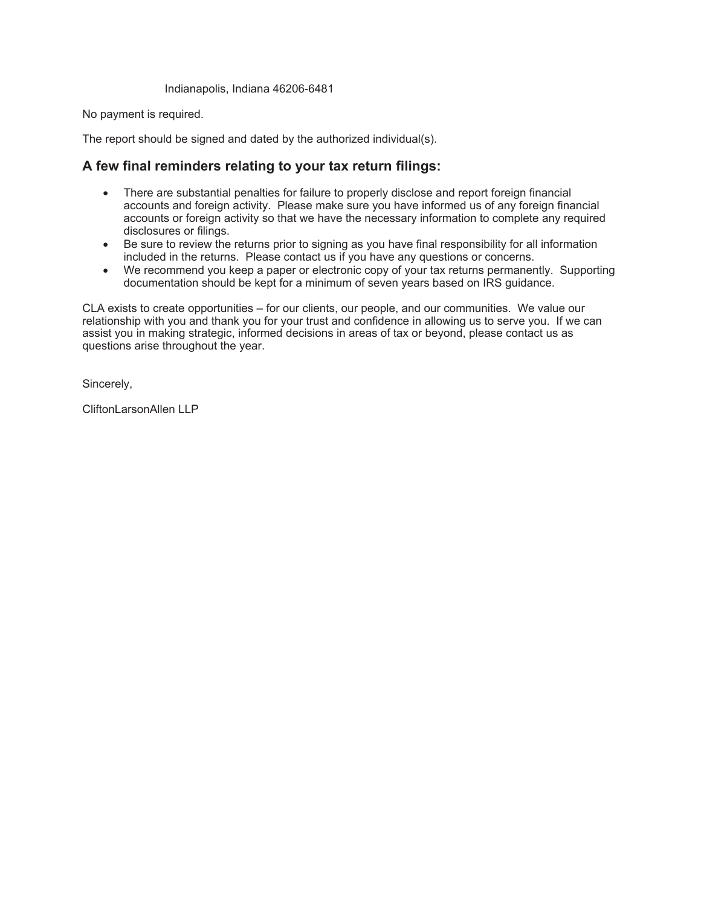Indianapolis, Indiana 46206-6481

No payment is required.

The report should be signed and dated by the authorized individual(s).

# **A few final reminders relating to your tax return filings:**

- There are substantial penalties for failure to properly disclose and report foreign financial accounts and foreign activity. Please make sure you have informed us of any foreign financial accounts or foreign activity so that we have the necessary information to complete any required disclosures or filings.
- Be sure to review the returns prior to signing as you have final responsibility for all information included in the returns. Please contact us if you have any questions or concerns.
- We recommend you keep a paper or electronic copy of your tax returns permanently. Supporting documentation should be kept for a minimum of seven years based on IRS guidance.

CLA exists to create opportunities – for our clients, our people, and our communities. We value our relationship with you and thank you for your trust and confidence in allowing us to serve you. If we can assist you in making strategic, informed decisions in areas of tax or beyond, please contact us as questions arise throughout the year.

Sincerely,

CliftonLarsonAllen LLP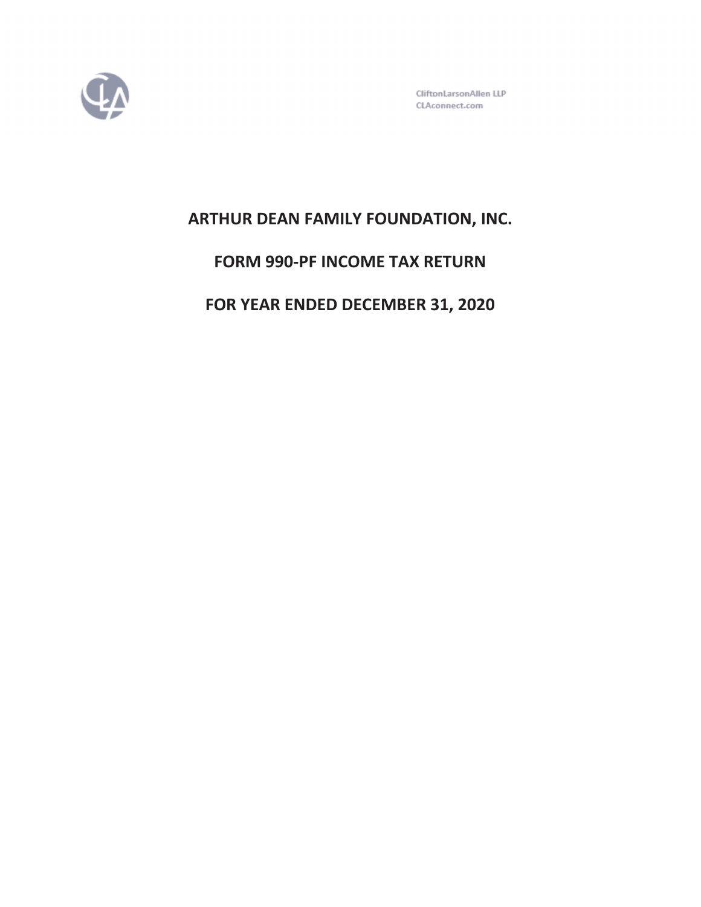

CliftonLarsonAllen LLP CLAconnect.com

# **ARTHUR DEAN FAMILY FOUNDATION, INC.**

# **FORM 990-PF INCOME TAX RETURN**

**FOR YEAR ENDED DECEMBER 31, 2020**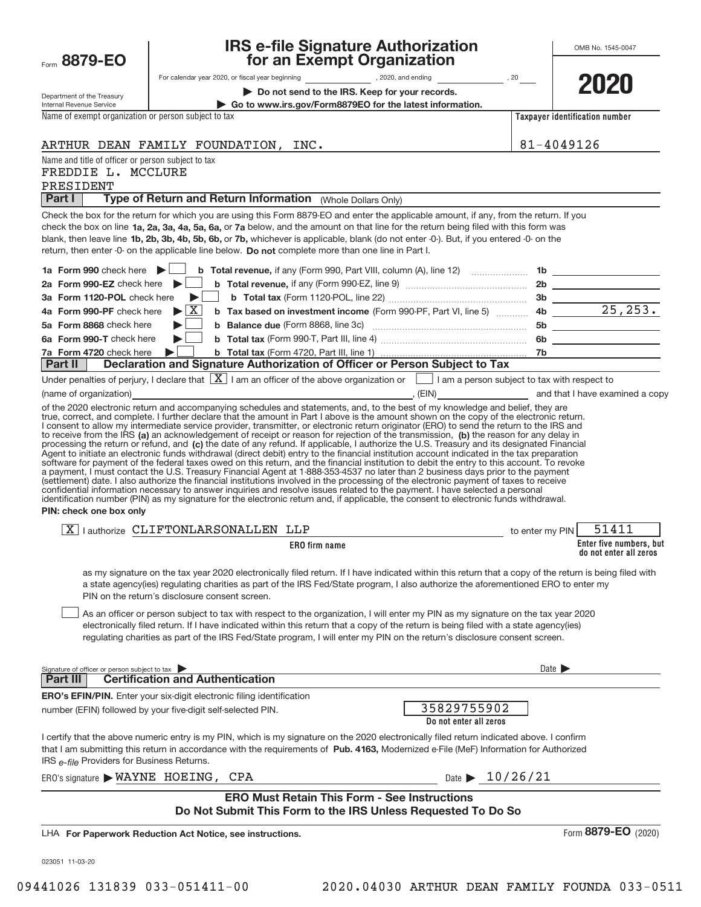| Form 8879-EO                                           |                                                                                                                                                                                                                                                                                                                                                                                                                                                                                                                                                                                                                                                                                                                                                           | for an Exempt Organization                                                                                                                                                                                                               |                       |                                                   |
|--------------------------------------------------------|-----------------------------------------------------------------------------------------------------------------------------------------------------------------------------------------------------------------------------------------------------------------------------------------------------------------------------------------------------------------------------------------------------------------------------------------------------------------------------------------------------------------------------------------------------------------------------------------------------------------------------------------------------------------------------------------------------------------------------------------------------------|------------------------------------------------------------------------------------------------------------------------------------------------------------------------------------------------------------------------------------------|-----------------------|---------------------------------------------------|
|                                                        |                                                                                                                                                                                                                                                                                                                                                                                                                                                                                                                                                                                                                                                                                                                                                           | Do not send to the IRS. Keep for your records.                                                                                                                                                                                           |                       | 202                                               |
| Department of the Treasury<br>Internal Revenue Service |                                                                                                                                                                                                                                                                                                                                                                                                                                                                                                                                                                                                                                                                                                                                                           | Go to www.irs.gov/Form8879EO for the latest information.                                                                                                                                                                                 |                       |                                                   |
| Name of exempt organization or person subject to tax   |                                                                                                                                                                                                                                                                                                                                                                                                                                                                                                                                                                                                                                                                                                                                                           |                                                                                                                                                                                                                                          |                       | Taxpayer identification number                    |
|                                                        | ARTHUR DEAN FAMILY FOUNDATION, INC.                                                                                                                                                                                                                                                                                                                                                                                                                                                                                                                                                                                                                                                                                                                       |                                                                                                                                                                                                                                          | 81-4049126            |                                                   |
| Name and title of officer or person subject to tax     |                                                                                                                                                                                                                                                                                                                                                                                                                                                                                                                                                                                                                                                                                                                                                           |                                                                                                                                                                                                                                          |                       |                                                   |
| FREDDIE L. MCCLURE                                     |                                                                                                                                                                                                                                                                                                                                                                                                                                                                                                                                                                                                                                                                                                                                                           |                                                                                                                                                                                                                                          |                       |                                                   |
| PRESIDENT                                              |                                                                                                                                                                                                                                                                                                                                                                                                                                                                                                                                                                                                                                                                                                                                                           |                                                                                                                                                                                                                                          |                       |                                                   |
| Part I                                                 | Type of Return and Return Information (Whole Dollars Only)                                                                                                                                                                                                                                                                                                                                                                                                                                                                                                                                                                                                                                                                                                |                                                                                                                                                                                                                                          |                       |                                                   |
|                                                        | Check the box for the return for which you are using this Form 8879-EO and enter the applicable amount, if any, from the return. If you<br>check the box on line 1a, 2a, 3a, 4a, 5a, 6a, or 7a below, and the amount on that line for the return being filed with this form was<br>blank, then leave line 1b, 2b, 3b, 4b, 5b, 6b, or 7b, whichever is applicable, blank (do not enter -0-). But, if you entered -0- on the<br>return, then enter -0- on the applicable line below. Do not complete more than one line in Part I.                                                                                                                                                                                                                          |                                                                                                                                                                                                                                          |                       |                                                   |
| 1a Form 990 check here $\blacktriangleright$           |                                                                                                                                                                                                                                                                                                                                                                                                                                                                                                                                                                                                                                                                                                                                                           |                                                                                                                                                                                                                                          |                       |                                                   |
| 2a Form 990-EZ check here $\blacktriangleright$        |                                                                                                                                                                                                                                                                                                                                                                                                                                                                                                                                                                                                                                                                                                                                                           |                                                                                                                                                                                                                                          |                       |                                                   |
| 3a Form 1120-POL check here                            |                                                                                                                                                                                                                                                                                                                                                                                                                                                                                                                                                                                                                                                                                                                                                           |                                                                                                                                                                                                                                          |                       |                                                   |
| 4a Form 990-PF check here                              | $\blacktriangleright$ $\vert$ X $\vert$                                                                                                                                                                                                                                                                                                                                                                                                                                                                                                                                                                                                                                                                                                                   | b Tax based on investment income (Form 990-PF, Part VI, line 5) 4b 25, 253.                                                                                                                                                              |                       |                                                   |
| 5a Form 8868 check here<br>6a Form 990-T check here    |                                                                                                                                                                                                                                                                                                                                                                                                                                                                                                                                                                                                                                                                                                                                                           | <b>b</b> Balance due (Form 8868, line 3c) <b>Manual</b> Contract Contract Contract Contract Contract Contract Contract Contract Contract Contract Contract Contract Contract Contract Contract Contract Contract Contract Contract Contr |                       | 6b                                                |
| 7a Form 4720 check here                                |                                                                                                                                                                                                                                                                                                                                                                                                                                                                                                                                                                                                                                                                                                                                                           |                                                                                                                                                                                                                                          |                       |                                                   |
| Part II                                                | Declaration and Signature Authorization of Officer or Person Subject to Tax                                                                                                                                                                                                                                                                                                                                                                                                                                                                                                                                                                                                                                                                               |                                                                                                                                                                                                                                          |                       |                                                   |
|                                                        | Under penalties of perjury, I declare that $\boxed{\mathbf{X}}$ I am an officer of the above organization or $\boxed{\phantom{\mathbf{X}}}$ I am a person subject to tax with respect to                                                                                                                                                                                                                                                                                                                                                                                                                                                                                                                                                                  |                                                                                                                                                                                                                                          |                       |                                                   |
|                                                        | (name of organization) <b>Contract Contract Contract Contract Contract Contract Contract Contract Contract Contract Contract Contract Contract Contract Contract Contract Contract Contract Contract Contract Contract Contract </b>                                                                                                                                                                                                                                                                                                                                                                                                                                                                                                                      |                                                                                                                                                                                                                                          |                       |                                                   |
| PIN: check one box only                                | a payment, I must contact the U.S. Treasury Financial Agent at 1-888-353-4537 no later than 2 business days prior to the payment<br>(settlement) date. I also authorize the financial institutions involved in the processing of the electronic payment of taxes to receive<br>confidential information necessary to answer inquiries and resolve issues related to the payment. I have selected a personal<br>identification number (PIN) as my signature for the electronic return and, if applicable, the consent to electronic funds withdrawal.                                                                                                                                                                                                      |                                                                                                                                                                                                                                          |                       |                                                   |
|                                                        | $\boxed{X}$   authorize CLIFTONLARSONALLEN LLP                                                                                                                                                                                                                                                                                                                                                                                                                                                                                                                                                                                                                                                                                                            |                                                                                                                                                                                                                                          | to enter my PIN       | 51411                                             |
|                                                        | ERO firm name                                                                                                                                                                                                                                                                                                                                                                                                                                                                                                                                                                                                                                                                                                                                             |                                                                                                                                                                                                                                          |                       | Enter five numbers, but<br>do not enter all zeros |
|                                                        | as my signature on the tax year 2020 electronically filed return. If I have indicated within this return that a copy of the return is being filed with<br>a state agency(ies) regulating charities as part of the IRS Fed/State program, I also authorize the aforementioned ERO to enter my<br>PIN on the return's disclosure consent screen.<br>As an officer or person subject to tax with respect to the organization, I will enter my PIN as my signature on the tax year 2020<br>electronically filed return. If I have indicated within this return that a copy of the return is being filed with a state agency(ies)<br>requlating charities as part of the IRS Fed/State program, I will enter my PIN on the return's disclosure consent screen. |                                                                                                                                                                                                                                          |                       |                                                   |
| Signature of officer or person subject to tax          |                                                                                                                                                                                                                                                                                                                                                                                                                                                                                                                                                                                                                                                                                                                                                           |                                                                                                                                                                                                                                          | Date $\triangleright$ |                                                   |
| Part III                                               | <b>Certification and Authentication</b>                                                                                                                                                                                                                                                                                                                                                                                                                                                                                                                                                                                                                                                                                                                   |                                                                                                                                                                                                                                          |                       |                                                   |
|                                                        | <b>ERO's EFIN/PIN.</b> Enter your six-digit electronic filing identification<br>number (EFIN) followed by your five-digit self-selected PIN.                                                                                                                                                                                                                                                                                                                                                                                                                                                                                                                                                                                                              | 35829755902<br>Do not enter all zeros                                                                                                                                                                                                    |                       |                                                   |
| IRS e-file Providers for Business Returns.             | I certify that the above numeric entry is my PIN, which is my signature on the 2020 electronically filed return indicated above. I confirm<br>that I am submitting this return in accordance with the requirements of Pub. 4163, Modernized e-File (MeF) Information for Authorized                                                                                                                                                                                                                                                                                                                                                                                                                                                                       |                                                                                                                                                                                                                                          |                       |                                                   |
| $ERO's signature$ <b>WAYNE</b> HOEING, CPA             |                                                                                                                                                                                                                                                                                                                                                                                                                                                                                                                                                                                                                                                                                                                                                           | Date $\geq 10/26/21$                                                                                                                                                                                                                     |                       |                                                   |
|                                                        | Do Not Submit This Form to the IRS Unless Requested To Do So                                                                                                                                                                                                                                                                                                                                                                                                                                                                                                                                                                                                                                                                                              | <b>ERO Must Retain This Form - See Instructions</b>                                                                                                                                                                                      |                       |                                                   |
|                                                        | LHA For Paperwork Reduction Act Notice, see instructions.                                                                                                                                                                                                                                                                                                                                                                                                                                                                                                                                                                                                                                                                                                 |                                                                                                                                                                                                                                          |                       | Form 8879-EO (2020)                               |
| 023051 11-03-20                                        |                                                                                                                                                                                                                                                                                                                                                                                                                                                                                                                                                                                                                                                                                                                                                           |                                                                                                                                                                                                                                          |                       |                                                   |

**IRS e+file Signature Authorization**

OMB No. 1545+0047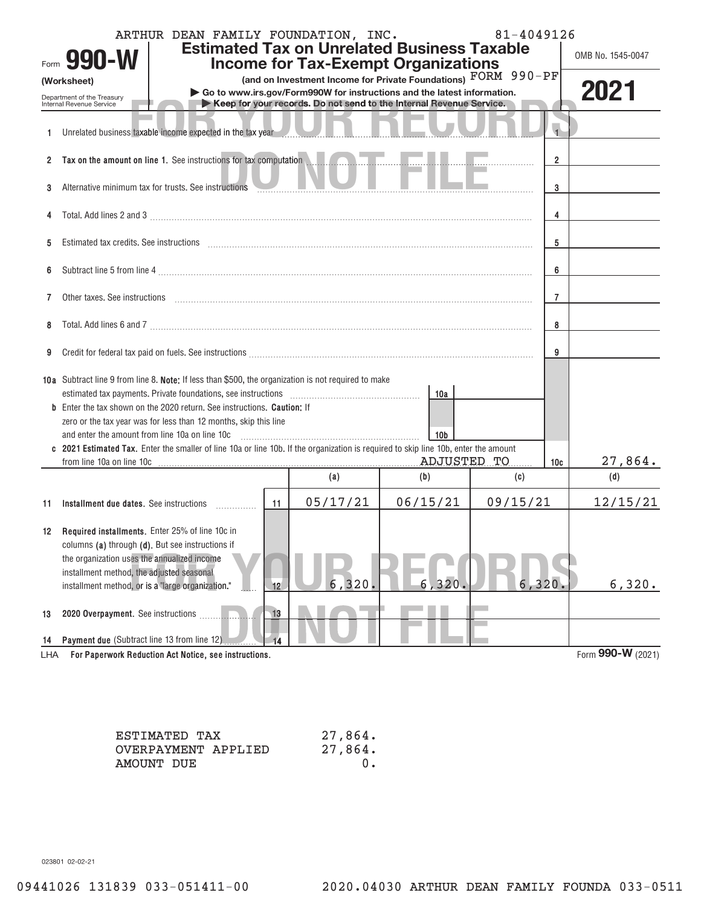|              | ARTHUR DEAN FAMILY FOUNDATION, INC.<br><b>Estimated Tax on Unrelated Business Taxable</b><br>Form 990-W<br><b>Income for Tax-Exempt Organizations</b>                                                                          | 81-4049126<br>OMB No. 1545-0047                                |                |                    |          |     |                   |
|--------------|--------------------------------------------------------------------------------------------------------------------------------------------------------------------------------------------------------------------------------|----------------------------------------------------------------|----------------|--------------------|----------|-----|-------------------|
|              | (Worksheet)<br>Go to www.irs.gov/Form990W for instructions and the latest information.<br>Department of the Treasury<br>Keep for your records. Do not send to the Internal Revenue Service.<br>Internal Revenue Service        | (and on Investment Income for Private Foundations) FORM 990-PF |                | 2021               |          |     |                   |
| 1            | Unrelated business taxable income expected in the tax year                                                                                                                                                                     |                                                                |                |                    |          |     |                   |
| $\mathbf{2}$ | Tax on the amount on line 1. See instructions for tax computation                                                                                                                                                              |                                                                | $\overline{2}$ |                    |          |     |                   |
| 3            | Alternative minimum tax for trusts. See instructions                                                                                                                                                                           |                                                                | 3              |                    |          |     |                   |
| 4            |                                                                                                                                                                                                                                |                                                                | 4              |                    |          |     |                   |
| 5            | Estimated tax credits. See instructions entertainment contains and all the set of the set of the set of the set of the set of the set of the set of the set of the set of the set of the set of the set of the set of the set  |                                                                |                |                    |          | 5   |                   |
| 6            |                                                                                                                                                                                                                                |                                                                | 6              |                    |          |     |                   |
| 7            | Other taxes. See instructions entertainment and an account of the set of the set of the set of the set of the set of the set of the set of the set of the set of the set of the set of the set of the set of the set of the se |                                                                | $\overline{7}$ |                    |          |     |                   |
| 8            |                                                                                                                                                                                                                                |                                                                |                |                    |          | 8   |                   |
| 9            |                                                                                                                                                                                                                                |                                                                |                |                    |          | 9   |                   |
|              | 10a Subtract line 9 from line 8. Note: If less than \$500, the organization is not required to make                                                                                                                            |                                                                |                | 10a                |          |     |                   |
|              | <b>b</b> Enter the tax shown on the 2020 return. See instructions. <b>Caution:</b> If<br>zero or the tax year was for less than 12 months, skip this line                                                                      |                                                                |                |                    |          |     |                   |
|              | and enter the amount from line 10a on line 10c<br>c 2021 Estimated Tax. Enter the smaller of line 10a or line 10b. If the organization is required to skip line 10b, enter the amount                                          |                                                                |                | 10 <sub>b</sub>    |          |     |                   |
|              |                                                                                                                                                                                                                                |                                                                | (a)            | ADJUSTED TO<br>(b) | (c)      | 10c | 27,864.<br>(d)    |
| 11           | Installment due dates. See instructions <i>manuformance</i>                                                                                                                                                                    | 11                                                             | 05/17/21       | 06/15/21           | 09/15/21 |     | 12/15/21          |
|              | 12 Required installments. Enter 25% of line 10c in<br>columns (a) through (d). But see instructions if<br>the organization uses the annualized income<br>installment method, the adjusted seasonal                             |                                                                |                |                    |          |     |                   |
|              | installment method, or is a "large organization."                                                                                                                                                                              | 12                                                             | 6, 320         | 6, 320.            | 6,320.   |     | 6,320.            |
| 13           | 2020 Overpayment. See instructions                                                                                                                                                                                             | 13                                                             |                |                    |          |     |                   |
| 14<br>LHA    | Payment due (Subtract line 13 from line 12)<br>For Paperwork Reduction Act Notice, see instructions.                                                                                                                           |                                                                |                |                    |          |     | Form 990-W (2021) |

| ESTIMATED TAX       | 27,864. |
|---------------------|---------|
| OVERPAYMENT APPLIED | 27,864. |
| AMOUNT DUE          |         |

023801 02+02+21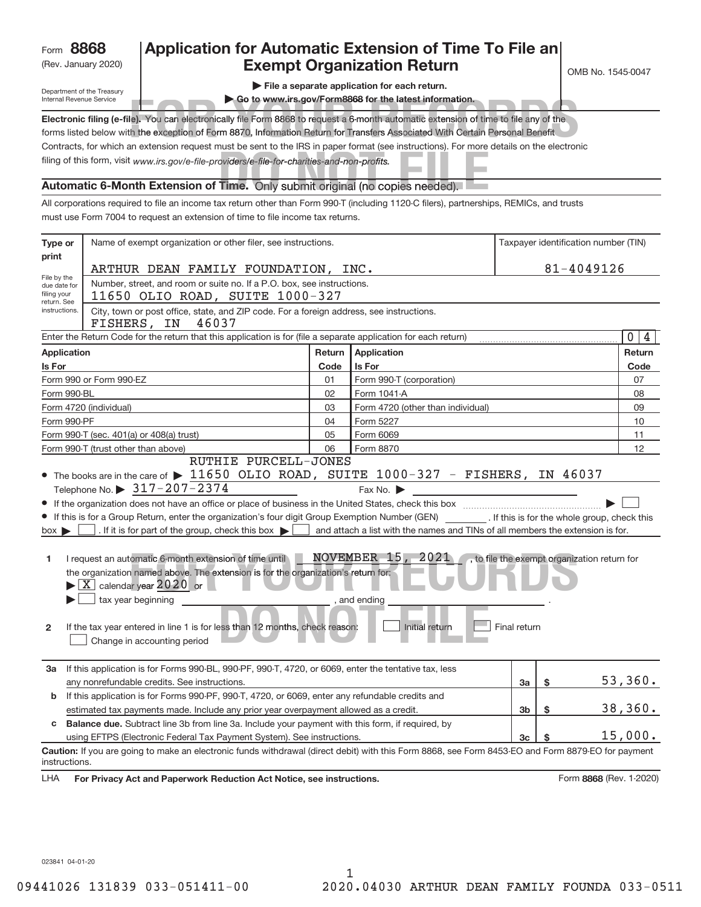# (Rev. January 2020) **Cxempt Organization Return** and the No. 1545-0047 **8868 Application for Automatic Extension of Time To File an**

Department of the Treasury Internal Revenue Service

**| File a separate application for each return.**

| Electronic filing (e-file). You can electronically file Form 8868 to request a 6-month automatic extension of time to file any of the    |
|------------------------------------------------------------------------------------------------------------------------------------------|
| forms listed below with the exception of Form 8870, Information Return for Transfers Associated With Certain Personal Benefit            |
| Contracts, for which an extension request must be sent to the IRS in paper format (see instructions). For more details on the electronic |
| filing of this form, visit www.irs.gov/e-file-providers/e-file-for-charities-and-non-profits.                                            |

## **Automatic 6+Month Extension of Time.** Only submit original (no copies needed).

|                                                                                                                                                                                                                                                                                                                                                            | Go to www.irs.gov/Form8868 for the latest information.<br>Internal Revenue Service                                                                                                                                                                   |                 |                                                                                |    |            |                   |  |  |
|------------------------------------------------------------------------------------------------------------------------------------------------------------------------------------------------------------------------------------------------------------------------------------------------------------------------------------------------------------|------------------------------------------------------------------------------------------------------------------------------------------------------------------------------------------------------------------------------------------------------|-----------------|--------------------------------------------------------------------------------|----|------------|-------------------|--|--|
|                                                                                                                                                                                                                                                                                                                                                            | Electronic filing (e-file). You can electronically file Form 8868 to request a 6-month automatic extension of time to file any of the                                                                                                                |                 |                                                                                |    |            |                   |  |  |
|                                                                                                                                                                                                                                                                                                                                                            | forms listed below with the exception of Form 8870, Information Return for Transfers Associated With Certain Personal Benefit                                                                                                                        |                 |                                                                                |    |            |                   |  |  |
|                                                                                                                                                                                                                                                                                                                                                            | Contracts, for which an extension request must be sent to the IRS in paper format (see instructions). For more details on the electronic                                                                                                             |                 |                                                                                |    |            |                   |  |  |
|                                                                                                                                                                                                                                                                                                                                                            | filing of this form, visit www.irs.gov/e-file-providers/e-file-for-charities-and-non-profits.                                                                                                                                                        |                 |                                                                                |    |            |                   |  |  |
|                                                                                                                                                                                                                                                                                                                                                            | Automatic 6-Month Extension of Time. Only submit original (no copies needed).                                                                                                                                                                        |                 |                                                                                |    |            |                   |  |  |
|                                                                                                                                                                                                                                                                                                                                                            | All corporations required to file an income tax return other than Form 990-T (including 1120-C filers), partnerships, REMICs, and trusts                                                                                                             |                 |                                                                                |    |            |                   |  |  |
|                                                                                                                                                                                                                                                                                                                                                            | must use Form 7004 to request an extension of time to file income tax returns.                                                                                                                                                                       |                 |                                                                                |    |            |                   |  |  |
| Name of exempt organization or other filer, see instructions.<br>Taxpayer identification number (TIN)<br>Type or<br>print                                                                                                                                                                                                                                  |                                                                                                                                                                                                                                                      |                 |                                                                                |    |            |                   |  |  |
|                                                                                                                                                                                                                                                                                                                                                            | ARTHUR DEAN FAMILY FOUNDATION, INC.                                                                                                                                                                                                                  |                 |                                                                                |    | 81-4049126 |                   |  |  |
| File by the<br>due date for                                                                                                                                                                                                                                                                                                                                | Number, street, and room or suite no. If a P.O. box, see instructions.                                                                                                                                                                               |                 |                                                                                |    |            |                   |  |  |
| filing your<br>return. See                                                                                                                                                                                                                                                                                                                                 | 11650 OLIO ROAD, SUITE 1000-327                                                                                                                                                                                                                      |                 |                                                                                |    |            |                   |  |  |
| instructions.                                                                                                                                                                                                                                                                                                                                              | City, town or post office, state, and ZIP code. For a foreign address, see instructions.<br>FISHERS, IN<br>46037                                                                                                                                     |                 |                                                                                |    |            |                   |  |  |
|                                                                                                                                                                                                                                                                                                                                                            | Enter the Return Code for the return that this application is for (file a separate application for each return)                                                                                                                                      |                 |                                                                                |    |            | $\mathbf{0}$<br>4 |  |  |
| <b>Application</b>                                                                                                                                                                                                                                                                                                                                         |                                                                                                                                                                                                                                                      | Return          | Application                                                                    |    |            | Return            |  |  |
| Is For                                                                                                                                                                                                                                                                                                                                                     |                                                                                                                                                                                                                                                      | Code            | <b>Is For</b>                                                                  |    |            | Code              |  |  |
|                                                                                                                                                                                                                                                                                                                                                            | Form 990-T (corporation)<br>Form 990 or Form 990-EZ<br>01                                                                                                                                                                                            |                 |                                                                                |    |            | 07                |  |  |
| 02<br>Form 1041-A<br>Form 990-BL                                                                                                                                                                                                                                                                                                                           |                                                                                                                                                                                                                                                      |                 |                                                                                | 08 |            |                   |  |  |
| Form 4720 (other than individual)<br>Form 4720 (individual)<br>03                                                                                                                                                                                                                                                                                          |                                                                                                                                                                                                                                                      |                 |                                                                                | 09 |            |                   |  |  |
| Form 990-PF<br>Form 5227<br>04                                                                                                                                                                                                                                                                                                                             |                                                                                                                                                                                                                                                      |                 | 10                                                                             |    |            |                   |  |  |
|                                                                                                                                                                                                                                                                                                                                                            | Form 990-T (sec. 401(a) or 408(a) trust)                                                                                                                                                                                                             | Form 6069<br>05 |                                                                                |    | 11         |                   |  |  |
| 06<br>Form 8870<br>Form 990-T (trust other than above)                                                                                                                                                                                                                                                                                                     |                                                                                                                                                                                                                                                      |                 |                                                                                |    | 12         |                   |  |  |
|                                                                                                                                                                                                                                                                                                                                                            | RUTHIE PURCELL-JONES                                                                                                                                                                                                                                 |                 |                                                                                |    |            |                   |  |  |
|                                                                                                                                                                                                                                                                                                                                                            | • The books are in the care of $\blacktriangleright$ 11650 OLIO ROAD, SUITE 1000-327 - FISHERS, IN 46037                                                                                                                                             |                 |                                                                                |    |            |                   |  |  |
|                                                                                                                                                                                                                                                                                                                                                            | Telephone No. $\triangleright$ 317-207-2374                                                                                                                                                                                                          |                 | Fax No. $\blacktriangleright$                                                  |    |            |                   |  |  |
|                                                                                                                                                                                                                                                                                                                                                            | If the organization does not have an office or place of business in the United States, check this box<br>If this is for a Group Return, enter the organization's four digit Group Exemption Number (GEN) [If this is for the whole group, check this |                 |                                                                                |    |            |                   |  |  |
| $box \triangleright$                                                                                                                                                                                                                                                                                                                                       | . If it is for part of the group, check this box $\blacktriangleright$                                                                                                                                                                               |                 | and attach a list with the names and TINs of all members the extension is for. |    |            |                   |  |  |
|                                                                                                                                                                                                                                                                                                                                                            |                                                                                                                                                                                                                                                      |                 |                                                                                |    |            |                   |  |  |
| NOVEMBER 15, 2021<br>I request an automatic 6-month extension of time until<br>$\overline{\phantom{a}}$ , to file the exempt organization return for<br>1.<br>the organization named above. The extension is for the organization's return for:<br>$\blacktriangleright$ $\lfloor$ X $\rfloor$ calendar year 2020 or<br>tax year beginning<br>, and ending |                                                                                                                                                                                                                                                      |                 |                                                                                |    |            |                   |  |  |
| Initial return<br>Final return<br>If the tax year entered in line 1 is for less than 12 months, check reason:<br>2<br>Change in accounting period                                                                                                                                                                                                          |                                                                                                                                                                                                                                                      |                 |                                                                                |    |            |                   |  |  |
| За                                                                                                                                                                                                                                                                                                                                                         | If this application is for Forms 990-BL, 990-PF, 990-T, 4720, or 6069, enter the tentative tax, less                                                                                                                                                 |                 |                                                                                |    |            |                   |  |  |
| \$<br>any nonrefundable credits. See instructions.<br>Зa                                                                                                                                                                                                                                                                                                   |                                                                                                                                                                                                                                                      |                 |                                                                                |    | 53,360.    |                   |  |  |
| If this application is for Forms 990-PF, 990-T, 4720, or 6069, enter any refundable credits and<br>b                                                                                                                                                                                                                                                       |                                                                                                                                                                                                                                                      |                 |                                                                                |    |            |                   |  |  |
|                                                                                                                                                                                                                                                                                                                                                            | estimated tax payments made. Include any prior year overpayment allowed as a credit.                                                                                                                                                                 |                 |                                                                                | 3b | \$         | 38,360.           |  |  |
| C                                                                                                                                                                                                                                                                                                                                                          | <b>Balance due.</b> Subtract line 3b from line 3a. Include your payment with this form, if required, by                                                                                                                                              |                 |                                                                                |    |            | 15,000.           |  |  |
|                                                                                                                                                                                                                                                                                                                                                            | using EFTPS (Electronic Federal Tax Payment System). See instructions.                                                                                                                                                                               |                 |                                                                                | 3c | \$         |                   |  |  |
| instructions.                                                                                                                                                                                                                                                                                                                                              | Caution: If you are going to make an electronic funds withdrawal (direct debit) with this Form 8868, see Form 8453-EO and Form 8879-EO for payment                                                                                                   |                 |                                                                                |    |            |                   |  |  |
| LHA                                                                                                                                                                                                                                                                                                                                                        | For Privacy Act and Paperwork Reduction Act Notice, see instructions.<br>Form 8868 (Rev. 1-2020)                                                                                                                                                     |                 |                                                                                |    |            |                   |  |  |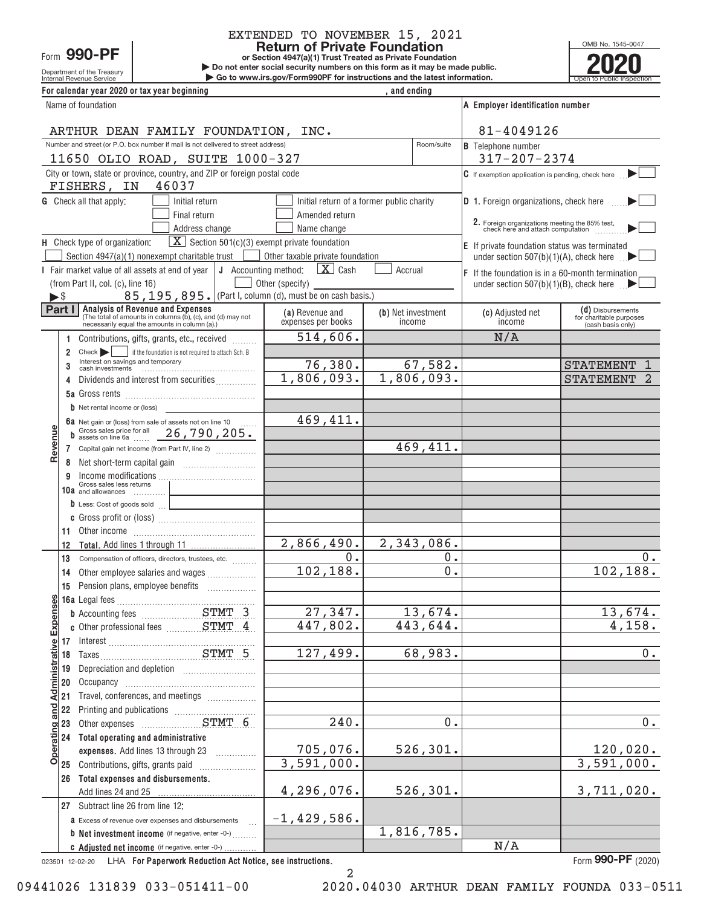ſ

j.

# EXTENDED TO NOVEMBER 15, 2021

OMB No. 1545-0047

| <b>Return of Private Foundation</b>                                                                                                                                                   |        |                                                            |                                                                                                   |   |                                                                               | OMB No. 1545-0047 |                              |                                                                                     |                                              |
|---------------------------------------------------------------------------------------------------------------------------------------------------------------------------------------|--------|------------------------------------------------------------|---------------------------------------------------------------------------------------------------|---|-------------------------------------------------------------------------------|-------------------|------------------------------|-------------------------------------------------------------------------------------|----------------------------------------------|
| Form 990-PF<br>or Section 4947(a)(1) Trust Treated as Private Foundation<br>Do not enter social security numbers on this form as it may be made public.                               |        |                                                            |                                                                                                   |   |                                                                               |                   |                              |                                                                                     |                                              |
|                                                                                                                                                                                       |        | Department of the Treasury<br>Internal Revenue Service     |                                                                                                   |   | Go to www.irs.gov/Form990PF for instructions and the latest information.      |                   |                              |                                                                                     | Open to Public                               |
|                                                                                                                                                                                       |        |                                                            | For calendar year 2020 or tax year beginning                                                      |   |                                                                               | and ending        |                              |                                                                                     |                                              |
|                                                                                                                                                                                       |        | Name of foundation                                         |                                                                                                   |   |                                                                               |                   |                              | A Employer identification number                                                    |                                              |
|                                                                                                                                                                                       |        |                                                            |                                                                                                   |   |                                                                               |                   |                              |                                                                                     |                                              |
|                                                                                                                                                                                       |        |                                                            | ARTHUR DEAN FAMILY FOUNDATION, INC.                                                               |   |                                                                               |                   |                              | 81-4049126                                                                          |                                              |
|                                                                                                                                                                                       |        |                                                            | Number and street (or P.O. box number if mail is not delivered to street address)                 |   |                                                                               |                   | Room/suite                   | <b>B</b> Telephone number                                                           |                                              |
|                                                                                                                                                                                       |        |                                                            | 11650 OLIO ROAD, SUITE 1000-327                                                                   |   |                                                                               |                   |                              | $317 - 207 - 2374$                                                                  |                                              |
|                                                                                                                                                                                       |        |                                                            |                                                                                                   |   |                                                                               |                   |                              |                                                                                     |                                              |
| City or town, state or province, country, and ZIP or foreign postal code<br>$\mathbf C$ If exemption application is pending, check here $\blacktriangleright$<br>FISHERS, IN<br>46037 |        |                                                            |                                                                                                   |   |                                                                               |                   |                              |                                                                                     |                                              |
| <b>G</b> Check all that apply:<br>Initial return of a former public charity                                                                                                           |        |                                                            |                                                                                                   |   |                                                                               |                   |                              |                                                                                     |                                              |
|                                                                                                                                                                                       |        |                                                            | Initial return                                                                                    |   |                                                                               |                   |                              | D 1. Foreign organizations, check here                                              |                                              |
|                                                                                                                                                                                       |        |                                                            | Final return                                                                                      |   | Amended return                                                                |                   |                              | 2. Foreign organizations meeting the 85% test,<br>check here and attach computation |                                              |
|                                                                                                                                                                                       |        |                                                            | Address change                                                                                    |   | Name change                                                                   |                   |                              |                                                                                     |                                              |
|                                                                                                                                                                                       |        | H Check type of organization:                              |                                                                                                   |   | $\boxed{\mathbf{X}}$ Section 501(c)(3) exempt private foundation              |                   |                              | E If private foundation status was terminated                                       |                                              |
|                                                                                                                                                                                       |        |                                                            | Section 4947(a)(1) nonexempt charitable trust                                                     |   | Other taxable private foundation                                              |                   |                              | under section 507(b)(1)(A), check here $\Box$                                       |                                              |
|                                                                                                                                                                                       |        |                                                            | Fair market value of all assets at end of year $\vert \mathbf{J} \vert$ Accounting method:        |   | $\mathbf{X}$ Cash                                                             | Accrual           |                              | $ F $ If the foundation is in a 60-month termination                                |                                              |
|                                                                                                                                                                                       |        | (from Part II, col. (c), line 16)                          |                                                                                                   |   | Other (specify)<br>85, 195, 895. (Part I, column (d), must be on cash basis.) |                   |                              | under section $507(b)(1)(B)$ , check here $\blacksquare$                            |                                              |
| $\blacktriangleright$ \$                                                                                                                                                              | Part I |                                                            | Analysis of Revenue and Expenses                                                                  |   |                                                                               |                   |                              |                                                                                     |                                              |
|                                                                                                                                                                                       |        |                                                            | (The total of amounts in columns (b), (c), and (d) may not                                        |   | (a) Revenue and<br>expenses per books                                         |                   | (b) Net investment<br>income | (c) Adjusted net<br>income                                                          | (d) Disbursements<br>for charitable purposes |
|                                                                                                                                                                                       |        |                                                            | necessarily equal the amounts in column (a).)                                                     |   |                                                                               |                   |                              |                                                                                     | (cash basis only)                            |
|                                                                                                                                                                                       | 1.     |                                                            | Contributions, gifts, grants, etc., received                                                      |   | 514,606.                                                                      |                   |                              | N/A                                                                                 |                                              |
|                                                                                                                                                                                       | 2      | $Check$ $\rightarrow$<br>Interest on savings and temporary | if the foundation is not required to attach Sch. B                                                |   |                                                                               |                   |                              |                                                                                     |                                              |
|                                                                                                                                                                                       | 3      |                                                            |                                                                                                   |   | 76,380.<br>1,806,093.                                                         |                   | 67, 582.<br>1,806,093.       |                                                                                     | <b>STATEMENT</b>                             |
|                                                                                                                                                                                       |        |                                                            | Dividends and interest from securities                                                            |   |                                                                               |                   |                              |                                                                                     | <b>STATEMENT</b>                             |
|                                                                                                                                                                                       |        |                                                            |                                                                                                   |   |                                                                               |                   |                              |                                                                                     |                                              |
|                                                                                                                                                                                       |        | $\mathbf b$ Net rental income or (loss)                    |                                                                                                   |   |                                                                               |                   |                              |                                                                                     |                                              |
|                                                                                                                                                                                       |        |                                                            | 6a Net gain or (loss) from sale of assets not on line 10                                          |   | 469,411.                                                                      |                   |                              |                                                                                     |                                              |
| evenue                                                                                                                                                                                |        |                                                            | Gross sales price for all 26, 790, 205.                                                           |   |                                                                               |                   |                              |                                                                                     |                                              |
| œ                                                                                                                                                                                     | 7      |                                                            | Capital gain net income (from Part IV, line 2)                                                    |   |                                                                               |                   | 469,411.                     |                                                                                     |                                              |
|                                                                                                                                                                                       | 8      |                                                            |                                                                                                   |   |                                                                               |                   |                              |                                                                                     |                                              |
|                                                                                                                                                                                       | 9      | Gross sales less returns                                   | $income$ modifications $\ldots$ , $\ldots$ , $\ldots$ , $\ldots$ , $\ldots$ , $\ldots$ , $\ldots$ |   |                                                                               |                   |                              |                                                                                     |                                              |
|                                                                                                                                                                                       |        | 10a and allowances                                         |                                                                                                   |   |                                                                               |                   |                              |                                                                                     |                                              |
|                                                                                                                                                                                       |        |                                                            | b Less: Cost of goods sold                                                                        |   |                                                                               |                   |                              |                                                                                     |                                              |
|                                                                                                                                                                                       |        |                                                            |                                                                                                   |   |                                                                               |                   |                              |                                                                                     |                                              |
|                                                                                                                                                                                       | 11     |                                                            |                                                                                                   |   |                                                                               |                   |                              |                                                                                     |                                              |
|                                                                                                                                                                                       | 12     |                                                            |                                                                                                   |   | $2,866,490.$ $2,343,086.$                                                     |                   |                              |                                                                                     |                                              |
|                                                                                                                                                                                       |        |                                                            | 13 Compensation of officers, directors, trustees, etc.                                            |   | $\overline{\mathbf{0}}$ .                                                     |                   | $\overline{0}$ .<br>0.       |                                                                                     | 0.                                           |
|                                                                                                                                                                                       |        |                                                            | 14 Other employee salaries and wages                                                              |   | 102,188.                                                                      |                   |                              |                                                                                     | 102, 188.                                    |
|                                                                                                                                                                                       |        |                                                            | 15 Pension plans, employee benefits                                                               | . |                                                                               |                   |                              |                                                                                     |                                              |
| <b>Administrative Expenses</b>                                                                                                                                                        |        |                                                            |                                                                                                   |   |                                                                               |                   |                              |                                                                                     |                                              |
|                                                                                                                                                                                       |        |                                                            |                                                                                                   |   | 27, 347.                                                                      |                   | 13,674.                      |                                                                                     | 13,674.                                      |
|                                                                                                                                                                                       |        |                                                            |                                                                                                   |   | 447,802.                                                                      |                   | 443,644.                     |                                                                                     | 4,158.                                       |
|                                                                                                                                                                                       |        |                                                            |                                                                                                   |   |                                                                               |                   |                              |                                                                                     |                                              |
|                                                                                                                                                                                       |        |                                                            |                                                                                                   |   | 127,499.                                                                      |                   | 68,983.                      |                                                                                     | 0.                                           |
|                                                                                                                                                                                       | 19     |                                                            | Depreciation and depletion [11] [11] Depreciation and depletion                                   |   |                                                                               |                   |                              |                                                                                     |                                              |
|                                                                                                                                                                                       | 20     |                                                            |                                                                                                   |   |                                                                               |                   |                              |                                                                                     |                                              |
|                                                                                                                                                                                       | 21     |                                                            | Travel, conferences, and meetings                                                                 |   |                                                                               |                   |                              |                                                                                     |                                              |
|                                                                                                                                                                                       |        |                                                            |                                                                                                   |   |                                                                               |                   |                              |                                                                                     |                                              |
|                                                                                                                                                                                       |        |                                                            |                                                                                                   |   | 240.                                                                          |                   | 0.                           |                                                                                     | $0$ .                                        |
|                                                                                                                                                                                       |        |                                                            | 24 Total operating and administrative                                                             |   |                                                                               |                   | 526,301.                     |                                                                                     |                                              |
| o                                                                                                                                                                                     |        |                                                            | expenses. Add lines 13 through 23                                                                 |   | 705,076.<br>3,591,000.                                                        |                   |                              |                                                                                     | 120,020.                                     |
|                                                                                                                                                                                       |        |                                                            | 25 Contributions, gifts, grants paid                                                              |   |                                                                               |                   |                              |                                                                                     | $\overline{3,591,000}$ .                     |
|                                                                                                                                                                                       |        |                                                            | 26 Total expenses and disbursements.                                                              |   |                                                                               |                   |                              |                                                                                     |                                              |
|                                                                                                                                                                                       |        | Add lines 24 and 25                                        |                                                                                                   |   | 4,296,076.                                                                    |                   | 526, 301.                    |                                                                                     | 3,711,020.                                   |
|                                                                                                                                                                                       |        | 27 Subtract line 26 from line 12:                          |                                                                                                   |   |                                                                               |                   |                              |                                                                                     |                                              |
|                                                                                                                                                                                       |        |                                                            | a Excess of revenue over expenses and disbursements                                               |   | $-1,429,586.$                                                                 |                   | 1,816,785.                   |                                                                                     |                                              |
|                                                                                                                                                                                       |        |                                                            | <b>b</b> Net investment income (if negative, enter -0-)                                           |   |                                                                               |                   |                              |                                                                                     |                                              |

023501 12+02+20 **For Paperwork Reduction Act Notice, see instructions.** LHA Form (2020)

}}}}

**b** Net investment income (if negative, enter -0-) ......... C Adjusted net income (if negative, enter -0-)

**Form 990-PF** (2020)

2

N/A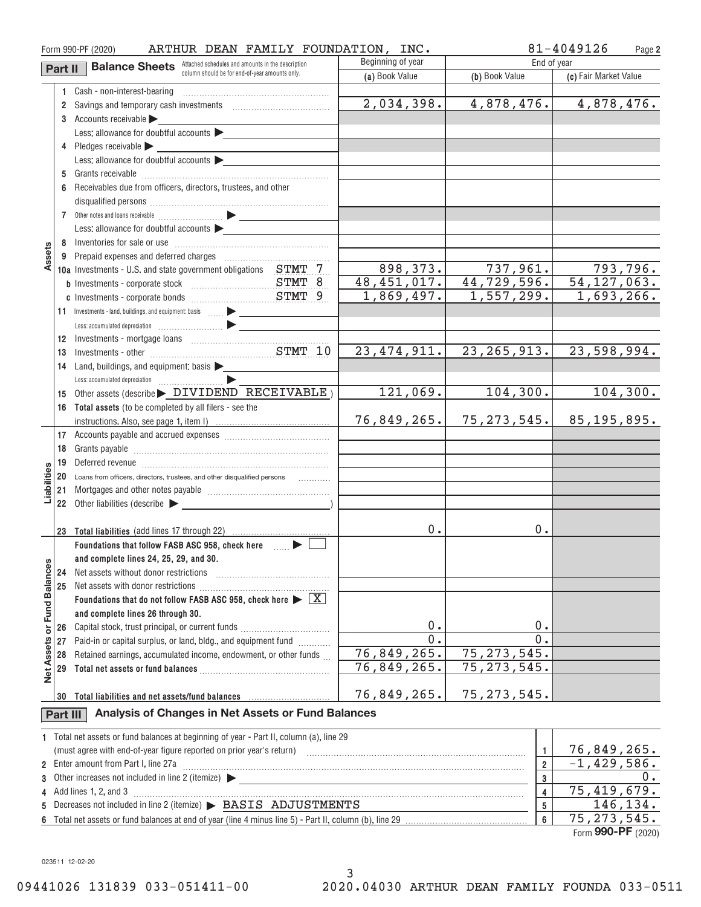|                   |          | ARTHUR DEAN FAMILY FOUNDATION, INC.<br>Form 990-PF (2020)                                                                                                                                                                      |                   |                             | 81-4049126<br>Page 2      |
|-------------------|----------|--------------------------------------------------------------------------------------------------------------------------------------------------------------------------------------------------------------------------------|-------------------|-----------------------------|---------------------------|
|                   | Part II  | <b>Balance Sheets</b> Attached schedules and amounts in the description                                                                                                                                                        | Beginning of year | End of year                 |                           |
|                   |          | column should be for end-of-year amounts only.                                                                                                                                                                                 | (a) Book Value    | (b) Book Value              | (c) Fair Market Value     |
|                   |          | 1 Cash - non-interest-bearing                                                                                                                                                                                                  |                   |                             |                           |
|                   | $^{2}$   | Savings and temporary cash investments [111] [11] Savings and temporary cash investments                                                                                                                                       | 2,034,398.        | 4,878,476.                  | 4,878,476.                |
|                   |          | 3 Accounts receivable                                                                                                                                                                                                          |                   |                             |                           |
|                   |          | Less: allowance for doubtful accounts                                                                                                                                                                                          |                   |                             |                           |
|                   |          | 4 Pledges receivable                                                                                                                                                                                                           |                   |                             |                           |
|                   |          | Less: allowance for doubtful accounts $\blacktriangleright$                                                                                                                                                                    |                   |                             |                           |
|                   |          |                                                                                                                                                                                                                                |                   |                             |                           |
|                   | 6        | Receivables due from officers, directors, trustees, and other                                                                                                                                                                  |                   |                             |                           |
|                   |          |                                                                                                                                                                                                                                |                   |                             |                           |
|                   |          |                                                                                                                                                                                                                                |                   |                             |                           |
|                   |          | Less: allowance for doubtful accounts                                                                                                                                                                                          |                   |                             |                           |
|                   |          |                                                                                                                                                                                                                                |                   |                             |                           |
| Assets            |          |                                                                                                                                                                                                                                |                   |                             |                           |
|                   |          | 10a Investments - U.S. and state government obligations STMT 7                                                                                                                                                                 | 898, 373.         | 737,961.                    | 793,796.                  |
|                   |          |                                                                                                                                                                                                                                | 48,451,017.       | 44,729,596.                 | $\overline{54,127,063}$ . |
|                   |          |                                                                                                                                                                                                                                | 1,869,497.        | 1,557,299.                  | 1,693,266.                |
|                   |          | 11 Investments - land, buildings, and equipment: basis  > _______________                                                                                                                                                      |                   |                             |                           |
|                   |          |                                                                                                                                                                                                                                |                   |                             |                           |
|                   | 12       |                                                                                                                                                                                                                                |                   |                             |                           |
|                   | 13       |                                                                                                                                                                                                                                | 23, 474, 911.     | 23, 265, 913.               | 23,598,994.               |
|                   | 14       | Land, buildings, and equipment: basis >                                                                                                                                                                                        |                   |                             |                           |
|                   |          |                                                                                                                                                                                                                                |                   |                             |                           |
|                   | 15       | Other assets (describe > DIVIDEND RECEIVABLE)                                                                                                                                                                                  | 121,069.          | 104, 300.                   | 104,300.                  |
|                   |          | 16 Total assets (to be completed by all filers - see the                                                                                                                                                                       |                   |                             |                           |
|                   |          |                                                                                                                                                                                                                                | 76,849,265.       | 75, 273, 545.               | 85, 195, 895.             |
|                   |          |                                                                                                                                                                                                                                |                   |                             |                           |
|                   | 18       |                                                                                                                                                                                                                                |                   |                             |                           |
|                   | 19       | Deferred revenue information and contain an account of the contract of the contact of the contact of the contact of the contact of the contact of the contact of the contact of the contact of the contact of the contact of t |                   |                             |                           |
| iabiliti          | 20       | Loans from officers, directors, trustees, and other disqualified persons                                                                                                                                                       |                   |                             |                           |
|                   | 21       |                                                                                                                                                                                                                                |                   |                             |                           |
|                   | 22       | Other liabilities (describe $\blacktriangleright$                                                                                                                                                                              |                   |                             |                           |
|                   |          |                                                                                                                                                                                                                                | 0.                | 0.                          |                           |
|                   | 23       | Total liabilities (add lines 17 through 22)<br>Foundations that follow FASB ASC 958, check here _____ >                                                                                                                        |                   |                             |                           |
|                   |          | and complete lines 24, 25, 29, and 30.                                                                                                                                                                                         |                   |                             |                           |
|                   | 24       | Net assets without donor restrictions                                                                                                                                                                                          |                   |                             |                           |
|                   | 25       | Net assets with donor restrictions                                                                                                                                                                                             |                   |                             |                           |
| or Fund Balances  |          | Foundations that do not follow FASB ASC 958, check here $\blacktriangleright \boxed{\text{X}}$                                                                                                                                 |                   |                             |                           |
|                   |          | and complete lines 26 through 30.                                                                                                                                                                                              |                   |                             |                           |
|                   | 26       | Capital stock, trust principal, or current funds                                                                                                                                                                               | 0.                | 0.                          |                           |
|                   | 27       | Paid-in or capital surplus, or land, bldg., and equipment fund                                                                                                                                                                 | 0.                | 0.                          |                           |
|                   | 28       | Retained earnings, accumulated income, endowment, or other funds                                                                                                                                                               | 76,849,265.       | 75, 273, 545.               |                           |
| <b>Net Assets</b> | 29       |                                                                                                                                                                                                                                | 76,849,265.       | $\overline{75}$ , 273, 545. |                           |
|                   |          |                                                                                                                                                                                                                                |                   |                             |                           |
|                   | 30       | Total liabilities and net assets/fund balances                                                                                                                                                                                 | 76,849,265.       | 75, 273, 545.               |                           |
|                   | Part III | Analysis of Changes in Net Assets or Fund Balances                                                                                                                                                                             |                   |                             |                           |
|                   |          | 1 Total net assets or fund balances at beginning of year - Part II, column (a), line 29                                                                                                                                        |                   |                             |                           |
|                   |          |                                                                                                                                                                                                                                | 1.                | 76,849,265.                 |                           |
| $\overline{2}$    |          | Enter amount from Part I, line 27a                                                                                                                                                                                             | $\overline{2}$    | $-1,429,586.$               |                           |
| 3                 |          |                                                                                                                                                                                                                                | 3                 | 0.                          |                           |
| 4                 |          | Add lines 1, 2, and 3                                                                                                                                                                                                          |                   | 4                           | 75,419,679.               |
| 5                 |          | Decreases not included in line 2 (itemize) > BASIS ADJUSTMENTS                                                                                                                                                                 |                   | 5                           | 146, 134.                 |
| 6                 |          |                                                                                                                                                                                                                                | $6\phantom{a}$    | $\overline{75}$ , 273, 545. |                           |

Form (2020) **990+PF**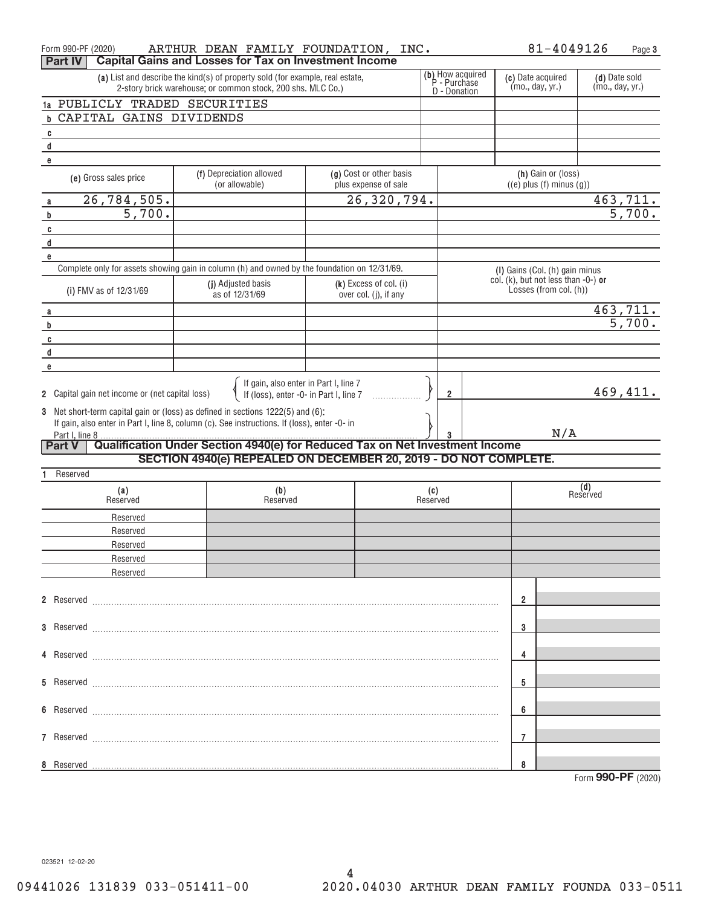| Form 990-PF (2020)                                                                                                                           | ARTHUR DEAN FAMILY FOUNDATION, INC.                                                          |                                                                                     |                                                       | 81-4049126                                                                  | Page 3                           |
|----------------------------------------------------------------------------------------------------------------------------------------------|----------------------------------------------------------------------------------------------|-------------------------------------------------------------------------------------|-------------------------------------------------------|-----------------------------------------------------------------------------|----------------------------------|
| Part IV                                                                                                                                      | <b>Capital Gains and Losses for Tax on Investment Income</b>                                 |                                                                                     | (b) How acquired<br>P - Purchase                      |                                                                             |                                  |
| (a) List and describe the kind(s) of property sold (for example, real estate,<br>2-story brick warehouse; or common stock, 200 shs. MLC Co.) |                                                                                              |                                                                                     |                                                       | (c) Date acquired<br>(mo., day, yr.)                                        | (d) Date sold<br>(mo., day, yr.) |
| 1a PUBLICLY TRADED SECURITIES                                                                                                                |                                                                                              |                                                                                     | D - Donation                                          |                                                                             |                                  |
| CAPITAL GAINS DIVIDENDS<br>h                                                                                                                 |                                                                                              |                                                                                     |                                                       |                                                                             |                                  |
| $\mathbf{c}$                                                                                                                                 |                                                                                              |                                                                                     |                                                       |                                                                             |                                  |
| $\mathsf d$                                                                                                                                  |                                                                                              |                                                                                     |                                                       |                                                                             |                                  |
| e                                                                                                                                            |                                                                                              |                                                                                     |                                                       |                                                                             |                                  |
| (e) Gross sales price                                                                                                                        | (g) Cost or other basis<br>plus expense of sale                                              |                                                                                     | (h) Gain or (loss)<br>$((e)$ plus $(f)$ minus $(g)$ ) |                                                                             |                                  |
| <u>26,784,505.</u><br>a                                                                                                                      |                                                                                              | 26,320,794.                                                                         |                                                       |                                                                             | 463,711.                         |
| $\overline{5,700}$ .<br>b                                                                                                                    |                                                                                              |                                                                                     |                                                       |                                                                             | 5,700.                           |
| C                                                                                                                                            |                                                                                              |                                                                                     |                                                       |                                                                             |                                  |
| d                                                                                                                                            |                                                                                              |                                                                                     |                                                       |                                                                             |                                  |
| e                                                                                                                                            |                                                                                              |                                                                                     |                                                       |                                                                             |                                  |
|                                                                                                                                              | Complete only for assets showing gain in column (h) and owned by the foundation on 12/31/69. |                                                                                     |                                                       | (I) Gains (Col. (h) gain minus<br>col. $(k)$ , but not less than $-0$ -) or |                                  |
| (i) FMV as of 12/31/69                                                                                                                       | (j) Adjusted basis<br>as of 12/31/69                                                         | $(k)$ Excess of col. (i)<br>over col. (j), if any                                   |                                                       | Losses (from col. (h))                                                      |                                  |
|                                                                                                                                              |                                                                                              |                                                                                     |                                                       |                                                                             | 463,711.                         |
| a<br>b                                                                                                                                       |                                                                                              |                                                                                     |                                                       |                                                                             | $\overline{5,700}$ .             |
| C                                                                                                                                            |                                                                                              |                                                                                     |                                                       |                                                                             |                                  |
| $\operatorname{\mathsf{d}}$                                                                                                                  |                                                                                              |                                                                                     |                                                       |                                                                             |                                  |
| e                                                                                                                                            |                                                                                              |                                                                                     |                                                       |                                                                             |                                  |
|                                                                                                                                              |                                                                                              |                                                                                     |                                                       |                                                                             |                                  |
| 2 Capital gain net income or (net capital loss)                                                                                              |                                                                                              | If gain, also enter in Part I, line $7$<br>If (loss), enter -0- in Part I, line $7$ | $\overline{2}$                                        |                                                                             | 469,411.                         |
| 3                                                                                                                                            | Net short-term capital gain or (loss) as defined in sections 1222(5) and (6):                |                                                                                     |                                                       |                                                                             |                                  |
|                                                                                                                                              | If gain, also enter in Part I, line 8, column (c). See instructions. If (loss), enter -0- in |                                                                                     |                                                       |                                                                             |                                  |
| Part I, line 8<br>Part V                                                                                                                     | Qualification Under Section 4940(e) for Reduced Tax on Net Investment Income                 |                                                                                     |                                                       | N/A                                                                         |                                  |
|                                                                                                                                              | SECTION 4940(e) REPEALED ON DECEMBER 20, 2019 - DO NOT COMPLETE.                             |                                                                                     |                                                       |                                                                             |                                  |
| Reserved                                                                                                                                     |                                                                                              |                                                                                     |                                                       |                                                                             |                                  |
| (a)                                                                                                                                          | (b)                                                                                          |                                                                                     | (c)                                                   |                                                                             | (d)<br>Reserved                  |
| Reserved                                                                                                                                     | Reserved                                                                                     |                                                                                     | Reserved                                              |                                                                             |                                  |
| Reserved                                                                                                                                     |                                                                                              |                                                                                     |                                                       |                                                                             |                                  |
| Reserved                                                                                                                                     |                                                                                              |                                                                                     |                                                       |                                                                             |                                  |
| Reserved                                                                                                                                     |                                                                                              |                                                                                     |                                                       |                                                                             |                                  |
| Reserved                                                                                                                                     |                                                                                              |                                                                                     |                                                       |                                                                             |                                  |
| Reserved                                                                                                                                     |                                                                                              |                                                                                     |                                                       |                                                                             |                                  |
|                                                                                                                                              |                                                                                              |                                                                                     |                                                       |                                                                             |                                  |
|                                                                                                                                              |                                                                                              |                                                                                     |                                                       | 2                                                                           |                                  |
|                                                                                                                                              |                                                                                              |                                                                                     |                                                       |                                                                             |                                  |
| 3 Reserved                                                                                                                                   |                                                                                              |                                                                                     |                                                       | 3                                                                           |                                  |
|                                                                                                                                              |                                                                                              |                                                                                     |                                                       |                                                                             |                                  |
|                                                                                                                                              |                                                                                              |                                                                                     |                                                       | 4                                                                           |                                  |
| 5 Reserved                                                                                                                                   |                                                                                              |                                                                                     |                                                       | 5                                                                           |                                  |
|                                                                                                                                              |                                                                                              |                                                                                     |                                                       |                                                                             |                                  |
| 6 Reserved                                                                                                                                   |                                                                                              |                                                                                     |                                                       | 6                                                                           |                                  |
|                                                                                                                                              |                                                                                              |                                                                                     |                                                       |                                                                             |                                  |
| 7 Reserved                                                                                                                                   |                                                                                              |                                                                                     |                                                       | 7                                                                           |                                  |
|                                                                                                                                              |                                                                                              |                                                                                     |                                                       |                                                                             |                                  |
| 8 Reserved                                                                                                                                   |                                                                                              |                                                                                     |                                                       | 8                                                                           |                                  |
|                                                                                                                                              |                                                                                              |                                                                                     |                                                       |                                                                             | Form 990-PF (2020)               |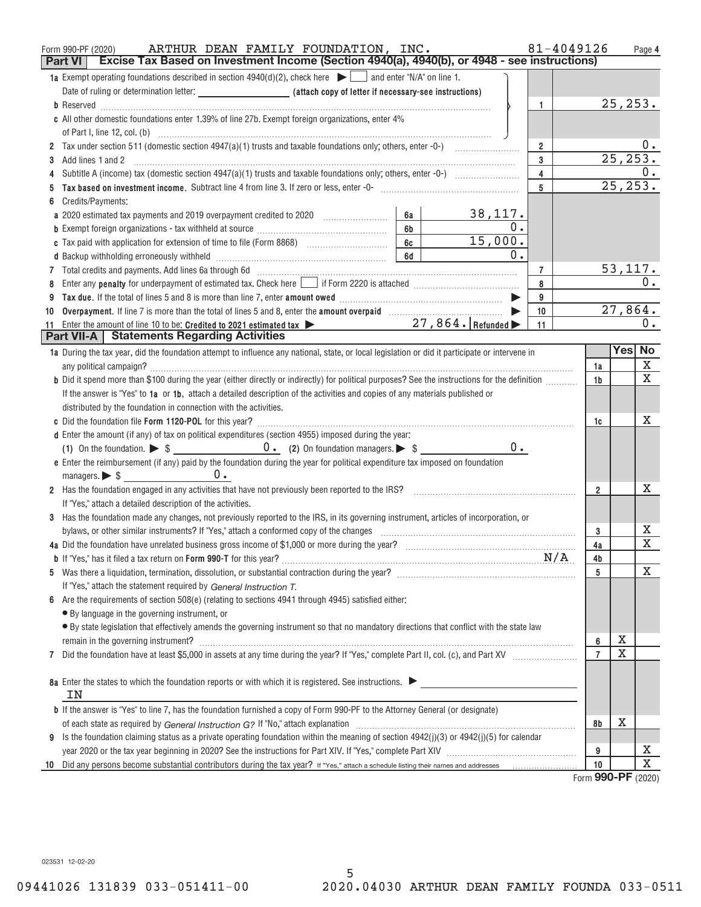| 1a Exempt operating foundations described in section $4940(d)(2)$ , check here $\blacktriangleright$ and enter "N/A" on line 1.<br>25, 253.<br>$\mathbf{1}$<br>c All other domestic foundations enter 1.39% of line 27b. Exempt foreign organizations, enter 4%<br>0.<br>$\overline{2}$<br>25, 253.<br>$\mathbf{3}$<br>Add lines 1 and 2<br>3<br>0.<br>$\overline{4}$<br>4<br>$2\overline{5}$ , $253$ .<br>5<br>Credits/Payments:<br>6<br>38,117.<br>a 2020 estimated tax payments and 2019 overpayment credited to 2020 [11, 12, 12, 12, 12, 12, 12, 13, 13, 13, 1<br>6а<br>$\overline{0}$ .<br>6b<br>15,000.<br>6c<br>c Tax paid with application for extension of time to file (Form 8868) [100] [100] [100] [100] [100] [100] [100] [100] [100] [100] [100] [100] [100] [100] [100] [100] [100] [100] [100] [100] [100] [100] [100] [100] [100] [1<br>0.<br>6d<br>53, 117.<br>$\overline{7}$<br>0.<br>8<br>8<br>9<br>9<br>27,864.<br>10<br>10<br>$0$ .<br>Enter the amount of line 10 to be: Credited to 2021 estimated tax $\blacktriangleright$ 27, 864. Refunded $\blacktriangleright$<br>11<br>11<br><b>Part VII-A</b>   Statements Regarding Activities<br>Yes No<br>1a During the tax year, did the foundation attempt to influence any national, state, or local legislation or did it participate or intervene in<br>X<br>1a<br>X<br>b Did it spend more than \$100 during the year (either directly or indirectly) for political purposes? See the instructions for the definition<br>1b<br>If the answer is "Yes" to 1a or 1b, attach a detailed description of the activities and copies of any materials published or<br>distributed by the foundation in connection with the activities.<br>х<br>1c<br>d Enter the amount (if any) of tax on political expenditures (section 4955) imposed during the year:<br>$0 \cdot$<br>e Enter the reimbursement (if any) paid by the foundation during the year for political expenditure tax imposed on foundation<br>managers. $\triangleright$ \$ 0.<br>х<br>2 Has the foundation engaged in any activities that have not previously been reported to the IRS? [[[[[[[[[[[ [ [ [ [ [ [ ] [ ]]]]]<br>$\overline{2}$<br>If "Yes," attach a detailed description of the activities.<br>3 Has the foundation made any changes, not previously reported to the IRS, in its governing instrument, articles of incorporation, or<br>х<br>bylaws, or other similar instruments? If "Yes," attach a conformed copy of the changes<br>3<br>$\overline{\mathbf{X}}$<br>4a<br>4b |
|--------------------------------------------------------------------------------------------------------------------------------------------------------------------------------------------------------------------------------------------------------------------------------------------------------------------------------------------------------------------------------------------------------------------------------------------------------------------------------------------------------------------------------------------------------------------------------------------------------------------------------------------------------------------------------------------------------------------------------------------------------------------------------------------------------------------------------------------------------------------------------------------------------------------------------------------------------------------------------------------------------------------------------------------------------------------------------------------------------------------------------------------------------------------------------------------------------------------------------------------------------------------------------------------------------------------------------------------------------------------------------------------------------------------------------------------------------------------------------------------------------------------------------------------------------------------------------------------------------------------------------------------------------------------------------------------------------------------------------------------------------------------------------------------------------------------------------------------------------------------------------------------------------------------------------------------------------------------------------------------------------------------------------------------------------------------------------------------------------------------------------------------------------------------------------------------------------------------------------------------------------------------------------------------------------------------------------------------------------------------------------------------------------------------------------------------------------------------------------------------------------------------------------|
|                                                                                                                                                                                                                                                                                                                                                                                                                                                                                                                                                                                                                                                                                                                                                                                                                                                                                                                                                                                                                                                                                                                                                                                                                                                                                                                                                                                                                                                                                                                                                                                                                                                                                                                                                                                                                                                                                                                                                                                                                                                                                                                                                                                                                                                                                                                                                                                                                                                                                                                                |
|                                                                                                                                                                                                                                                                                                                                                                                                                                                                                                                                                                                                                                                                                                                                                                                                                                                                                                                                                                                                                                                                                                                                                                                                                                                                                                                                                                                                                                                                                                                                                                                                                                                                                                                                                                                                                                                                                                                                                                                                                                                                                                                                                                                                                                                                                                                                                                                                                                                                                                                                |
|                                                                                                                                                                                                                                                                                                                                                                                                                                                                                                                                                                                                                                                                                                                                                                                                                                                                                                                                                                                                                                                                                                                                                                                                                                                                                                                                                                                                                                                                                                                                                                                                                                                                                                                                                                                                                                                                                                                                                                                                                                                                                                                                                                                                                                                                                                                                                                                                                                                                                                                                |
|                                                                                                                                                                                                                                                                                                                                                                                                                                                                                                                                                                                                                                                                                                                                                                                                                                                                                                                                                                                                                                                                                                                                                                                                                                                                                                                                                                                                                                                                                                                                                                                                                                                                                                                                                                                                                                                                                                                                                                                                                                                                                                                                                                                                                                                                                                                                                                                                                                                                                                                                |
|                                                                                                                                                                                                                                                                                                                                                                                                                                                                                                                                                                                                                                                                                                                                                                                                                                                                                                                                                                                                                                                                                                                                                                                                                                                                                                                                                                                                                                                                                                                                                                                                                                                                                                                                                                                                                                                                                                                                                                                                                                                                                                                                                                                                                                                                                                                                                                                                                                                                                                                                |
|                                                                                                                                                                                                                                                                                                                                                                                                                                                                                                                                                                                                                                                                                                                                                                                                                                                                                                                                                                                                                                                                                                                                                                                                                                                                                                                                                                                                                                                                                                                                                                                                                                                                                                                                                                                                                                                                                                                                                                                                                                                                                                                                                                                                                                                                                                                                                                                                                                                                                                                                |
|                                                                                                                                                                                                                                                                                                                                                                                                                                                                                                                                                                                                                                                                                                                                                                                                                                                                                                                                                                                                                                                                                                                                                                                                                                                                                                                                                                                                                                                                                                                                                                                                                                                                                                                                                                                                                                                                                                                                                                                                                                                                                                                                                                                                                                                                                                                                                                                                                                                                                                                                |
|                                                                                                                                                                                                                                                                                                                                                                                                                                                                                                                                                                                                                                                                                                                                                                                                                                                                                                                                                                                                                                                                                                                                                                                                                                                                                                                                                                                                                                                                                                                                                                                                                                                                                                                                                                                                                                                                                                                                                                                                                                                                                                                                                                                                                                                                                                                                                                                                                                                                                                                                |
|                                                                                                                                                                                                                                                                                                                                                                                                                                                                                                                                                                                                                                                                                                                                                                                                                                                                                                                                                                                                                                                                                                                                                                                                                                                                                                                                                                                                                                                                                                                                                                                                                                                                                                                                                                                                                                                                                                                                                                                                                                                                                                                                                                                                                                                                                                                                                                                                                                                                                                                                |
|                                                                                                                                                                                                                                                                                                                                                                                                                                                                                                                                                                                                                                                                                                                                                                                                                                                                                                                                                                                                                                                                                                                                                                                                                                                                                                                                                                                                                                                                                                                                                                                                                                                                                                                                                                                                                                                                                                                                                                                                                                                                                                                                                                                                                                                                                                                                                                                                                                                                                                                                |
|                                                                                                                                                                                                                                                                                                                                                                                                                                                                                                                                                                                                                                                                                                                                                                                                                                                                                                                                                                                                                                                                                                                                                                                                                                                                                                                                                                                                                                                                                                                                                                                                                                                                                                                                                                                                                                                                                                                                                                                                                                                                                                                                                                                                                                                                                                                                                                                                                                                                                                                                |
|                                                                                                                                                                                                                                                                                                                                                                                                                                                                                                                                                                                                                                                                                                                                                                                                                                                                                                                                                                                                                                                                                                                                                                                                                                                                                                                                                                                                                                                                                                                                                                                                                                                                                                                                                                                                                                                                                                                                                                                                                                                                                                                                                                                                                                                                                                                                                                                                                                                                                                                                |
|                                                                                                                                                                                                                                                                                                                                                                                                                                                                                                                                                                                                                                                                                                                                                                                                                                                                                                                                                                                                                                                                                                                                                                                                                                                                                                                                                                                                                                                                                                                                                                                                                                                                                                                                                                                                                                                                                                                                                                                                                                                                                                                                                                                                                                                                                                                                                                                                                                                                                                                                |
|                                                                                                                                                                                                                                                                                                                                                                                                                                                                                                                                                                                                                                                                                                                                                                                                                                                                                                                                                                                                                                                                                                                                                                                                                                                                                                                                                                                                                                                                                                                                                                                                                                                                                                                                                                                                                                                                                                                                                                                                                                                                                                                                                                                                                                                                                                                                                                                                                                                                                                                                |
|                                                                                                                                                                                                                                                                                                                                                                                                                                                                                                                                                                                                                                                                                                                                                                                                                                                                                                                                                                                                                                                                                                                                                                                                                                                                                                                                                                                                                                                                                                                                                                                                                                                                                                                                                                                                                                                                                                                                                                                                                                                                                                                                                                                                                                                                                                                                                                                                                                                                                                                                |
|                                                                                                                                                                                                                                                                                                                                                                                                                                                                                                                                                                                                                                                                                                                                                                                                                                                                                                                                                                                                                                                                                                                                                                                                                                                                                                                                                                                                                                                                                                                                                                                                                                                                                                                                                                                                                                                                                                                                                                                                                                                                                                                                                                                                                                                                                                                                                                                                                                                                                                                                |
|                                                                                                                                                                                                                                                                                                                                                                                                                                                                                                                                                                                                                                                                                                                                                                                                                                                                                                                                                                                                                                                                                                                                                                                                                                                                                                                                                                                                                                                                                                                                                                                                                                                                                                                                                                                                                                                                                                                                                                                                                                                                                                                                                                                                                                                                                                                                                                                                                                                                                                                                |
|                                                                                                                                                                                                                                                                                                                                                                                                                                                                                                                                                                                                                                                                                                                                                                                                                                                                                                                                                                                                                                                                                                                                                                                                                                                                                                                                                                                                                                                                                                                                                                                                                                                                                                                                                                                                                                                                                                                                                                                                                                                                                                                                                                                                                                                                                                                                                                                                                                                                                                                                |
|                                                                                                                                                                                                                                                                                                                                                                                                                                                                                                                                                                                                                                                                                                                                                                                                                                                                                                                                                                                                                                                                                                                                                                                                                                                                                                                                                                                                                                                                                                                                                                                                                                                                                                                                                                                                                                                                                                                                                                                                                                                                                                                                                                                                                                                                                                                                                                                                                                                                                                                                |
|                                                                                                                                                                                                                                                                                                                                                                                                                                                                                                                                                                                                                                                                                                                                                                                                                                                                                                                                                                                                                                                                                                                                                                                                                                                                                                                                                                                                                                                                                                                                                                                                                                                                                                                                                                                                                                                                                                                                                                                                                                                                                                                                                                                                                                                                                                                                                                                                                                                                                                                                |
|                                                                                                                                                                                                                                                                                                                                                                                                                                                                                                                                                                                                                                                                                                                                                                                                                                                                                                                                                                                                                                                                                                                                                                                                                                                                                                                                                                                                                                                                                                                                                                                                                                                                                                                                                                                                                                                                                                                                                                                                                                                                                                                                                                                                                                                                                                                                                                                                                                                                                                                                |
|                                                                                                                                                                                                                                                                                                                                                                                                                                                                                                                                                                                                                                                                                                                                                                                                                                                                                                                                                                                                                                                                                                                                                                                                                                                                                                                                                                                                                                                                                                                                                                                                                                                                                                                                                                                                                                                                                                                                                                                                                                                                                                                                                                                                                                                                                                                                                                                                                                                                                                                                |
|                                                                                                                                                                                                                                                                                                                                                                                                                                                                                                                                                                                                                                                                                                                                                                                                                                                                                                                                                                                                                                                                                                                                                                                                                                                                                                                                                                                                                                                                                                                                                                                                                                                                                                                                                                                                                                                                                                                                                                                                                                                                                                                                                                                                                                                                                                                                                                                                                                                                                                                                |
|                                                                                                                                                                                                                                                                                                                                                                                                                                                                                                                                                                                                                                                                                                                                                                                                                                                                                                                                                                                                                                                                                                                                                                                                                                                                                                                                                                                                                                                                                                                                                                                                                                                                                                                                                                                                                                                                                                                                                                                                                                                                                                                                                                                                                                                                                                                                                                                                                                                                                                                                |
|                                                                                                                                                                                                                                                                                                                                                                                                                                                                                                                                                                                                                                                                                                                                                                                                                                                                                                                                                                                                                                                                                                                                                                                                                                                                                                                                                                                                                                                                                                                                                                                                                                                                                                                                                                                                                                                                                                                                                                                                                                                                                                                                                                                                                                                                                                                                                                                                                                                                                                                                |
|                                                                                                                                                                                                                                                                                                                                                                                                                                                                                                                                                                                                                                                                                                                                                                                                                                                                                                                                                                                                                                                                                                                                                                                                                                                                                                                                                                                                                                                                                                                                                                                                                                                                                                                                                                                                                                                                                                                                                                                                                                                                                                                                                                                                                                                                                                                                                                                                                                                                                                                                |
|                                                                                                                                                                                                                                                                                                                                                                                                                                                                                                                                                                                                                                                                                                                                                                                                                                                                                                                                                                                                                                                                                                                                                                                                                                                                                                                                                                                                                                                                                                                                                                                                                                                                                                                                                                                                                                                                                                                                                                                                                                                                                                                                                                                                                                                                                                                                                                                                                                                                                                                                |
|                                                                                                                                                                                                                                                                                                                                                                                                                                                                                                                                                                                                                                                                                                                                                                                                                                                                                                                                                                                                                                                                                                                                                                                                                                                                                                                                                                                                                                                                                                                                                                                                                                                                                                                                                                                                                                                                                                                                                                                                                                                                                                                                                                                                                                                                                                                                                                                                                                                                                                                                |
|                                                                                                                                                                                                                                                                                                                                                                                                                                                                                                                                                                                                                                                                                                                                                                                                                                                                                                                                                                                                                                                                                                                                                                                                                                                                                                                                                                                                                                                                                                                                                                                                                                                                                                                                                                                                                                                                                                                                                                                                                                                                                                                                                                                                                                                                                                                                                                                                                                                                                                                                |
|                                                                                                                                                                                                                                                                                                                                                                                                                                                                                                                                                                                                                                                                                                                                                                                                                                                                                                                                                                                                                                                                                                                                                                                                                                                                                                                                                                                                                                                                                                                                                                                                                                                                                                                                                                                                                                                                                                                                                                                                                                                                                                                                                                                                                                                                                                                                                                                                                                                                                                                                |
|                                                                                                                                                                                                                                                                                                                                                                                                                                                                                                                                                                                                                                                                                                                                                                                                                                                                                                                                                                                                                                                                                                                                                                                                                                                                                                                                                                                                                                                                                                                                                                                                                                                                                                                                                                                                                                                                                                                                                                                                                                                                                                                                                                                                                                                                                                                                                                                                                                                                                                                                |
|                                                                                                                                                                                                                                                                                                                                                                                                                                                                                                                                                                                                                                                                                                                                                                                                                                                                                                                                                                                                                                                                                                                                                                                                                                                                                                                                                                                                                                                                                                                                                                                                                                                                                                                                                                                                                                                                                                                                                                                                                                                                                                                                                                                                                                                                                                                                                                                                                                                                                                                                |
|                                                                                                                                                                                                                                                                                                                                                                                                                                                                                                                                                                                                                                                                                                                                                                                                                                                                                                                                                                                                                                                                                                                                                                                                                                                                                                                                                                                                                                                                                                                                                                                                                                                                                                                                                                                                                                                                                                                                                                                                                                                                                                                                                                                                                                                                                                                                                                                                                                                                                                                                |
|                                                                                                                                                                                                                                                                                                                                                                                                                                                                                                                                                                                                                                                                                                                                                                                                                                                                                                                                                                                                                                                                                                                                                                                                                                                                                                                                                                                                                                                                                                                                                                                                                                                                                                                                                                                                                                                                                                                                                                                                                                                                                                                                                                                                                                                                                                                                                                                                                                                                                                                                |
| X<br>5                                                                                                                                                                                                                                                                                                                                                                                                                                                                                                                                                                                                                                                                                                                                                                                                                                                                                                                                                                                                                                                                                                                                                                                                                                                                                                                                                                                                                                                                                                                                                                                                                                                                                                                                                                                                                                                                                                                                                                                                                                                                                                                                                                                                                                                                                                                                                                                                                                                                                                                         |
| If "Yes," attach the statement required by General Instruction T.                                                                                                                                                                                                                                                                                                                                                                                                                                                                                                                                                                                                                                                                                                                                                                                                                                                                                                                                                                                                                                                                                                                                                                                                                                                                                                                                                                                                                                                                                                                                                                                                                                                                                                                                                                                                                                                                                                                                                                                                                                                                                                                                                                                                                                                                                                                                                                                                                                                              |
| Are the requirements of section $508(e)$ (relating to sections 4941 through 4945) satisfied either:                                                                                                                                                                                                                                                                                                                                                                                                                                                                                                                                                                                                                                                                                                                                                                                                                                                                                                                                                                                                                                                                                                                                                                                                                                                                                                                                                                                                                                                                                                                                                                                                                                                                                                                                                                                                                                                                                                                                                                                                                                                                                                                                                                                                                                                                                                                                                                                                                            |
| • By language in the governing instrument, or                                                                                                                                                                                                                                                                                                                                                                                                                                                                                                                                                                                                                                                                                                                                                                                                                                                                                                                                                                                                                                                                                                                                                                                                                                                                                                                                                                                                                                                                                                                                                                                                                                                                                                                                                                                                                                                                                                                                                                                                                                                                                                                                                                                                                                                                                                                                                                                                                                                                                  |
| · By state legislation that effectively amends the governing instrument so that no mandatory directions that conflict with the state law                                                                                                                                                                                                                                                                                                                                                                                                                                                                                                                                                                                                                                                                                                                                                                                                                                                                                                                                                                                                                                                                                                                                                                                                                                                                                                                                                                                                                                                                                                                                                                                                                                                                                                                                                                                                                                                                                                                                                                                                                                                                                                                                                                                                                                                                                                                                                                                       |
| Χ<br>remain in the governing instrument? Management and the contract of the contract of the contract of the contract of the contract of the contract of the contract of the contract of the contract of the contract of the contrac<br>6                                                                                                                                                                                                                                                                                                                                                                                                                                                                                                                                                                                                                                                                                                                                                                                                                                                                                                                                                                                                                                                                                                                                                                                                                                                                                                                                                                                                                                                                                                                                                                                                                                                                                                                                                                                                                                                                                                                                                                                                                                                                                                                                                                                                                                                                                       |
| X<br>$\overline{7}$<br>7                                                                                                                                                                                                                                                                                                                                                                                                                                                                                                                                                                                                                                                                                                                                                                                                                                                                                                                                                                                                                                                                                                                                                                                                                                                                                                                                                                                                                                                                                                                                                                                                                                                                                                                                                                                                                                                                                                                                                                                                                                                                                                                                                                                                                                                                                                                                                                                                                                                                                                       |
|                                                                                                                                                                                                                                                                                                                                                                                                                                                                                                                                                                                                                                                                                                                                                                                                                                                                                                                                                                                                                                                                                                                                                                                                                                                                                                                                                                                                                                                                                                                                                                                                                                                                                                                                                                                                                                                                                                                                                                                                                                                                                                                                                                                                                                                                                                                                                                                                                                                                                                                                |
| 8a Enter the states to which the foundation reports or with which it is registered. See instructions.<br>ΙN                                                                                                                                                                                                                                                                                                                                                                                                                                                                                                                                                                                                                                                                                                                                                                                                                                                                                                                                                                                                                                                                                                                                                                                                                                                                                                                                                                                                                                                                                                                                                                                                                                                                                                                                                                                                                                                                                                                                                                                                                                                                                                                                                                                                                                                                                                                                                                                                                    |
| <b>b</b> If the answer is "Yes" to line 7, has the foundation furnished a copy of Form 990-PF to the Attorney General (or designate)                                                                                                                                                                                                                                                                                                                                                                                                                                                                                                                                                                                                                                                                                                                                                                                                                                                                                                                                                                                                                                                                                                                                                                                                                                                                                                                                                                                                                                                                                                                                                                                                                                                                                                                                                                                                                                                                                                                                                                                                                                                                                                                                                                                                                                                                                                                                                                                           |
| х<br>8b                                                                                                                                                                                                                                                                                                                                                                                                                                                                                                                                                                                                                                                                                                                                                                                                                                                                                                                                                                                                                                                                                                                                                                                                                                                                                                                                                                                                                                                                                                                                                                                                                                                                                                                                                                                                                                                                                                                                                                                                                                                                                                                                                                                                                                                                                                                                                                                                                                                                                                                        |
| Is the foundation claiming status as a private operating foundation within the meaning of section $4942(j)(3)$ or $4942(j)(5)$ for calendar<br>9                                                                                                                                                                                                                                                                                                                                                                                                                                                                                                                                                                                                                                                                                                                                                                                                                                                                                                                                                                                                                                                                                                                                                                                                                                                                                                                                                                                                                                                                                                                                                                                                                                                                                                                                                                                                                                                                                                                                                                                                                                                                                                                                                                                                                                                                                                                                                                               |
| х<br>9                                                                                                                                                                                                                                                                                                                                                                                                                                                                                                                                                                                                                                                                                                                                                                                                                                                                                                                                                                                                                                                                                                                                                                                                                                                                                                                                                                                                                                                                                                                                                                                                                                                                                                                                                                                                                                                                                                                                                                                                                                                                                                                                                                                                                                                                                                                                                                                                                                                                                                                         |
| $\overline{\text{X}}$<br>10<br>10<br>000 BC                                                                                                                                                                                                                                                                                                                                                                                                                                                                                                                                                                                                                                                                                                                                                                                                                                                                                                                                                                                                                                                                                                                                                                                                                                                                                                                                                                                                                                                                                                                                                                                                                                                                                                                                                                                                                                                                                                                                                                                                                                                                                                                                                                                                                                                                                                                                                                                                                                                                                    |

Form (2020) **990+PF**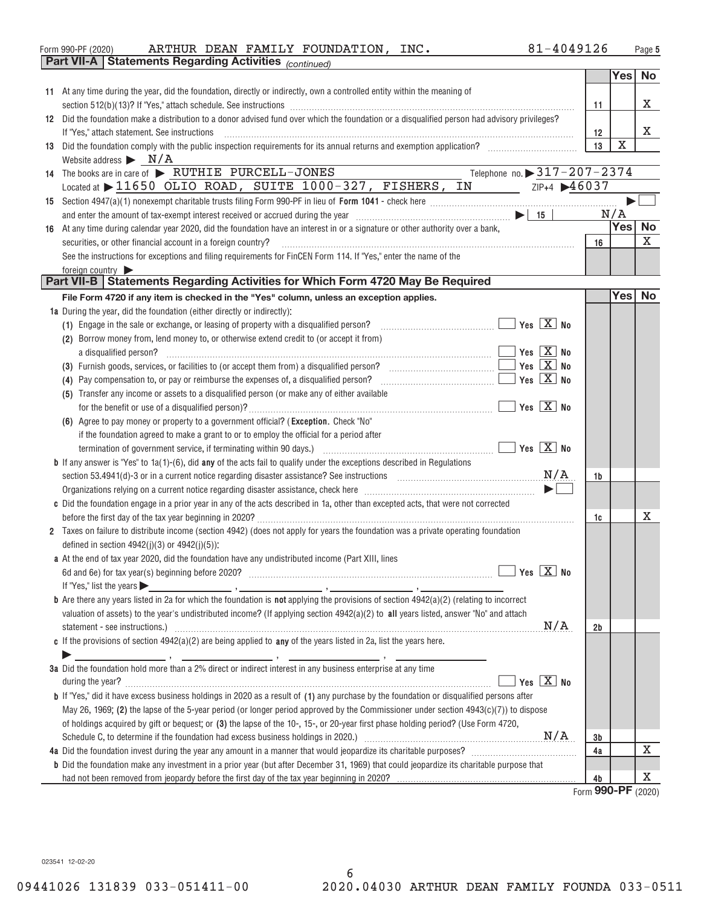| 81-4049126<br>INC.<br>ARTHUR DEAN FAMILY FOUNDATION,<br>Form 990-PF (2020) | Page |
|----------------------------------------------------------------------------|------|
|----------------------------------------------------------------------------|------|

|    | <b>Part VII-A   Statements Regarding Activities</b> (continued)         |                                                                                                                                                                                                                                                                                                                                                                                                                                             |                            |    |             |                   |
|----|-------------------------------------------------------------------------|---------------------------------------------------------------------------------------------------------------------------------------------------------------------------------------------------------------------------------------------------------------------------------------------------------------------------------------------------------------------------------------------------------------------------------------------|----------------------------|----|-------------|-------------------|
|    |                                                                         |                                                                                                                                                                                                                                                                                                                                                                                                                                             |                            |    | Yes         | No                |
|    |                                                                         | 11 At any time during the year, did the foundation, directly or indirectly, own a controlled entity within the meaning of                                                                                                                                                                                                                                                                                                                   |                            |    |             |                   |
|    |                                                                         |                                                                                                                                                                                                                                                                                                                                                                                                                                             |                            | 11 |             | х                 |
|    |                                                                         | 12 Did the foundation make a distribution to a donor advised fund over which the foundation or a disqualified person had advisory privileges?                                                                                                                                                                                                                                                                                               |                            |    |             |                   |
|    | If "Yes," attach statement. See instructions                            | $\begin{minipage}{0.5\textwidth} \begin{tabular}{ l l l } \hline \multicolumn{1}{ l l l } \hline \multicolumn{1}{ l l } \multicolumn{1}{ l } \multicolumn{1}{ l } \multicolumn{1}{ l } \multicolumn{1}{ l } \multicolumn{1}{ l } \multicolumn{1}{ l } \multicolumn{1}{ l } \multicolumn{1}{ l } \multicolumn{1}{ l } \multicolumn{1}{ l } \multicolumn{1}{ l } \multicolumn{1}{ l } \multicolumn{1}{ l } \multicolumn{1}{ l } \multicolumn$ |                            | 12 |             | х                 |
|    |                                                                         | 13 Did the foundation comply with the public inspection requirements for its annual returns and exemption application?                                                                                                                                                                                                                                                                                                                      |                            | 13 | $\mathbf X$ |                   |
|    | Website address $\triangleright$ $N/A$                                  |                                                                                                                                                                                                                                                                                                                                                                                                                                             |                            |    |             |                   |
|    | 14 The books are in care of > RUTHIE PURCELL-JONES                      |                                                                                                                                                                                                                                                                                                                                                                                                                                             | Telephone no. 317-207-2374 |    |             |                   |
|    |                                                                         | Located at > 11650 OLIO ROAD, SUITE 1000-327, FISHERS, IN                                                                                                                                                                                                                                                                                                                                                                                   | $ZIP+4$ $46037$            |    |             |                   |
|    |                                                                         |                                                                                                                                                                                                                                                                                                                                                                                                                                             |                            |    |             |                   |
|    |                                                                         |                                                                                                                                                                                                                                                                                                                                                                                                                                             |                            |    |             |                   |
|    |                                                                         |                                                                                                                                                                                                                                                                                                                                                                                                                                             |                            |    | N/A<br>Yes  | No                |
| 16 |                                                                         | At any time during calendar year 2020, did the foundation have an interest in or a signature or other authority over a bank,                                                                                                                                                                                                                                                                                                                |                            |    |             |                   |
|    | securities, or other financial account in a foreign country?            |                                                                                                                                                                                                                                                                                                                                                                                                                                             |                            | 16 |             | X                 |
|    |                                                                         | See the instructions for exceptions and filing requirements for FinCEN Form 114. If "Yes," enter the name of the                                                                                                                                                                                                                                                                                                                            |                            |    |             |                   |
|    | foreign country                                                         |                                                                                                                                                                                                                                                                                                                                                                                                                                             |                            |    |             |                   |
|    |                                                                         | Part VII-B   Statements Regarding Activities for Which Form 4720 May Be Required                                                                                                                                                                                                                                                                                                                                                            |                            |    |             |                   |
|    |                                                                         | File Form 4720 if any item is checked in the "Yes" column, unless an exception applies.                                                                                                                                                                                                                                                                                                                                                     |                            |    | Yes         | No                |
|    | 1a During the year, did the foundation (either directly or indirectly): |                                                                                                                                                                                                                                                                                                                                                                                                                                             |                            |    |             |                   |
|    |                                                                         | (1) Engage in the sale or exchange, or leasing of property with a disqualified person?                                                                                                                                                                                                                                                                                                                                                      | $Yes \quad X \quad No$     |    |             |                   |
|    |                                                                         | (2) Borrow money from, lend money to, or otherwise extend credit to (or accept it from)                                                                                                                                                                                                                                                                                                                                                     |                            |    |             |                   |
|    | a disqualified person?                                                  |                                                                                                                                                                                                                                                                                                                                                                                                                                             | $Yes$ $\overline{X}$ No    |    |             |                   |
|    |                                                                         |                                                                                                                                                                                                                                                                                                                                                                                                                                             | $Yes \nX \nNo$             |    |             |                   |
|    |                                                                         | (4) Pay compensation to, or pay or reimburse the expenses of, a disqualified person?<br>the contract of the contract of the contract of                                                                                                                                                                                                                                                                                                     | Yes $X$ No                 |    |             |                   |
|    |                                                                         | (5) Transfer any income or assets to a disqualified person (or make any of either available                                                                                                                                                                                                                                                                                                                                                 |                            |    |             |                   |
|    |                                                                         |                                                                                                                                                                                                                                                                                                                                                                                                                                             | $Yes$ $\overline{X}$ No    |    |             |                   |
|    |                                                                         | (6) Agree to pay money or property to a government official? (Exception. Check "No"                                                                                                                                                                                                                                                                                                                                                         |                            |    |             |                   |
|    |                                                                         | if the foundation agreed to make a grant to or to employ the official for a period after                                                                                                                                                                                                                                                                                                                                                    |                            |    |             |                   |
|    |                                                                         |                                                                                                                                                                                                                                                                                                                                                                                                                                             | $Yes$ $\overline{X}$ No    |    |             |                   |
|    |                                                                         | <b>b</b> If any answer is "Yes" to $1a(1)-(6)$ , did any of the acts fail to qualify under the exceptions described in Regulations                                                                                                                                                                                                                                                                                                          |                            |    |             |                   |
|    |                                                                         | section 53.4941(d)-3 or in a current notice regarding disaster assistance? See instructions [11,111] section 53.4941(d)-3 or in a current notice regarding disaster assistance? See instructions                                                                                                                                                                                                                                            | N/A                        | 1b |             |                   |
|    |                                                                         | Organizations relying on a current notice regarding disaster assistance, check here manufactured contains and the settlement of $\blacktriangleright$                                                                                                                                                                                                                                                                                       |                            |    |             |                   |
|    |                                                                         | c Did the foundation engage in a prior year in any of the acts described in 1a, other than excepted acts, that were not corrected                                                                                                                                                                                                                                                                                                           |                            |    |             |                   |
|    |                                                                         |                                                                                                                                                                                                                                                                                                                                                                                                                                             |                            | 1c |             | x                 |
|    |                                                                         | 2 Taxes on failure to distribute income (section 4942) (does not apply for years the foundation was a private operating foundation                                                                                                                                                                                                                                                                                                          |                            |    |             |                   |
|    | defined in section $4942(j)(3)$ or $4942(j)(5)$ ):                      |                                                                                                                                                                                                                                                                                                                                                                                                                                             |                            |    |             |                   |
|    |                                                                         | a At the end of tax year 2020, did the foundation have any undistributed income (Part XIII, lines                                                                                                                                                                                                                                                                                                                                           |                            |    |             |                   |
|    |                                                                         |                                                                                                                                                                                                                                                                                                                                                                                                                                             |                            |    |             |                   |
|    | If "Yes," list the years $\blacktriangleright$                          | <u>2. The contract of the contract of the contract of the contract of the contract of the contract of the contract of the contract of the contract of the contract of the contract of the contract of the contract of the contr</u>                                                                                                                                                                                                         |                            |    |             |                   |
|    |                                                                         | <b>b</b> Are there any years listed in 2a for which the foundation is <b>not</b> applying the provisions of section $4942(a)(2)$ (relating to incorrect                                                                                                                                                                                                                                                                                     |                            |    |             |                   |
|    |                                                                         | valuation of assets) to the year's undistributed income? (If applying section 4942(a)(2) to all years listed, answer "No" and attach                                                                                                                                                                                                                                                                                                        |                            |    |             |                   |
|    |                                                                         |                                                                                                                                                                                                                                                                                                                                                                                                                                             | N/A                        | 2b |             |                   |
|    |                                                                         | c If the provisions of section $4942(a)(2)$ are being applied to any of the years listed in 2a, list the years here.                                                                                                                                                                                                                                                                                                                        |                            |    |             |                   |
|    |                                                                         |                                                                                                                                                                                                                                                                                                                                                                                                                                             |                            |    |             |                   |
|    |                                                                         | 3a Did the foundation hold more than a 2% direct or indirect interest in any business enterprise at any time                                                                                                                                                                                                                                                                                                                                |                            |    |             |                   |
|    |                                                                         |                                                                                                                                                                                                                                                                                                                                                                                                                                             | Yes $X$ No                 |    |             |                   |
|    |                                                                         | <b>b</b> If "Yes," did it have excess business holdings in 2020 as a result of (1) any purchase by the foundation or disqualified persons after                                                                                                                                                                                                                                                                                             |                            |    |             |                   |
|    |                                                                         | May 26, 1969; (2) the lapse of the 5-year period (or longer period approved by the Commissioner under section 4943(c)(7)) to dispose                                                                                                                                                                                                                                                                                                        |                            |    |             |                   |
|    |                                                                         | of holdings acquired by gift or bequest; or (3) the lapse of the 10-, 15-, or 20-year first phase holding period? (Use Form 4720,                                                                                                                                                                                                                                                                                                           |                            |    |             |                   |
|    |                                                                         |                                                                                                                                                                                                                                                                                                                                                                                                                                             |                            | 3b |             |                   |
|    |                                                                         |                                                                                                                                                                                                                                                                                                                                                                                                                                             |                            | 4a |             | Χ                 |
|    |                                                                         | <b>b</b> Did the foundation make any investment in a prior year (but after December 31, 1969) that could jeopardize its charitable purpose that                                                                                                                                                                                                                                                                                             |                            |    |             |                   |
|    |                                                                         |                                                                                                                                                                                                                                                                                                                                                                                                                                             |                            | 4b |             | X                 |
|    |                                                                         |                                                                                                                                                                                                                                                                                                                                                                                                                                             |                            |    |             | $000$ DE $(0000)$ |

Form (2020) **990+PF**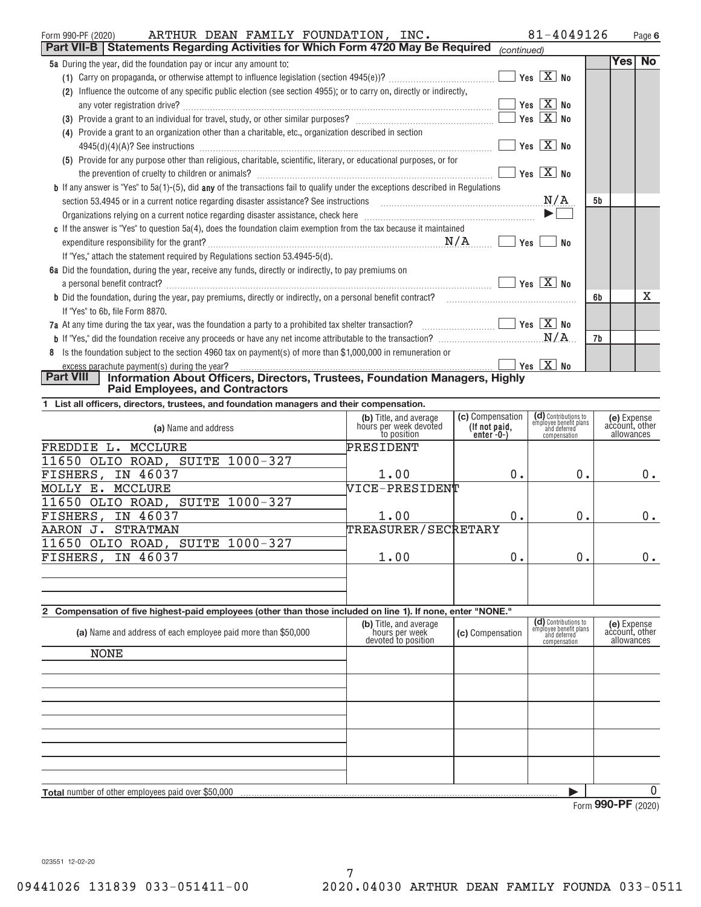| ARTHUR DEAN FAMILY FOUNDATION, INC.<br>Form 990-PF (2020)                                                                                                                                                                      |                       | 81-4049126 |        | Page 6 |
|--------------------------------------------------------------------------------------------------------------------------------------------------------------------------------------------------------------------------------|-----------------------|------------|--------|--------|
| Part VII-B   Statements Regarding Activities for Which Form 4720 May Be Required                                                                                                                                               | (continued)           |            |        |        |
| 5a During the year, did the foundation pay or incur any amount to:                                                                                                                                                             |                       |            | Yes No |        |
|                                                                                                                                                                                                                                | Yes $X$ No            |            |        |        |
| Influence the outcome of any specific public election (see section 4955); or to carry on, directly or indirectly,<br>(2)                                                                                                       |                       |            |        |        |
| any voter registration drive?                                                                                                                                                                                                  | Yes $X$ No            |            |        |        |
|                                                                                                                                                                                                                                | Yes $X$ No            |            |        |        |
| Provide a grant to an organization other than a charitable, etc., organization described in section<br>(4)                                                                                                                     |                       |            |        |        |
|                                                                                                                                                                                                                                | Yes $X$ No            |            |        |        |
| (5) Provide for any purpose other than religious, charitable, scientific, literary, or educational purposes, or for                                                                                                            |                       |            |        |        |
|                                                                                                                                                                                                                                | Yes $X$ No            |            |        |        |
| <b>b</b> If any answer is "Yes" to 5a(1)-(5), did any of the transactions fail to qualify under the exceptions described in Regulations                                                                                        |                       |            |        |        |
| N/A<br>section 53.4945 or in a current notice regarding disaster assistance? See instructions                                                                                                                                  |                       | 5b         |        |        |
| Organizations relying on a current notice regarding disaster assistance, check here [1111][11] Conditional management of the distribution of the distribution of the distribution of the distribution of the distribution of t | $\blacktriangleright$ |            |        |        |
| c If the answer is "Yes" to question 5a(4), does the foundation claim exemption from the tax because it maintained                                                                                                             |                       |            |        |        |
| N/A                                                                                                                                                                                                                            | Yes                   | No         |        |        |
| If "Yes," attach the statement required by Regulations section 53.4945-5(d).                                                                                                                                                   |                       |            |        |        |
| 6a Did the foundation, during the year, receive any funds, directly or indirectly, to pay premiums on                                                                                                                          | $Yes \ X \ No$        |            |        |        |
| a personal benefit contract?<br><b>b</b> Did the foundation, during the year, pay premiums, directly or indirectly, on a personal benefit contract?                                                                            |                       | 6b         |        | x      |
| If "Yes" to 6b, file Form 8870.                                                                                                                                                                                                |                       |            |        |        |
|                                                                                                                                                                                                                                | $Yes \ X$ No          |            |        |        |
|                                                                                                                                                                                                                                |                       | 7b         |        |        |
| 8 Is the foundation subject to the section 4960 tax on payment(s) of more than \$1,000,000 in remuneration or                                                                                                                  |                       |            |        |        |
| excess parachute payment(s) during the year?                                                                                                                                                                                   | Yes $X$ No            |            |        |        |
| <b>Part VIII</b><br>Information About Officers, Directors, Trustees, Foundation Managers, Highly                                                                                                                               |                       |            |        |        |

**Paid Employees, and Contractors** 

**1 List all officers, directors, trustees, and foundation managers and their compensation.**

| (a) Name and address                                                                                        | (b) Title, and average<br>hours per week devoted<br>to position | (c) Compensation<br>(If not paid,<br>enter $-0$ | (d) Contributions to<br>employee benefit plans<br>and deferred<br>compensation | (e) Expense<br>account, other<br>allowances |
|-------------------------------------------------------------------------------------------------------------|-----------------------------------------------------------------|-------------------------------------------------|--------------------------------------------------------------------------------|---------------------------------------------|
| MCCLURE<br>FREDDIE L.                                                                                       | PRESIDENT                                                       |                                                 |                                                                                |                                             |
| 11650 OLIO ROAD, SUITE 1000-327                                                                             |                                                                 |                                                 |                                                                                |                                             |
| FISHERS, IN 46037                                                                                           | 1.00                                                            | 0.                                              | 0.                                                                             | 0.                                          |
| MCCLURE<br>MOLLY E.                                                                                         | NICE-PRESIDENT                                                  |                                                 |                                                                                |                                             |
| 11650 OLIO ROAD, SUITE 1000-327                                                                             |                                                                 |                                                 |                                                                                |                                             |
| IN 46037<br>FISHERS,                                                                                        | 1.00                                                            | 0.                                              | 0.                                                                             | $0$ .                                       |
| <b>STRATMAN</b><br>AARON J.                                                                                 | TREASURER/SECRETARY                                             |                                                 |                                                                                |                                             |
| 11650 OLIO ROAD, SUITE 1000-327                                                                             |                                                                 |                                                 |                                                                                |                                             |
| FISHERS, IN 46037                                                                                           | 1.00                                                            | 0.                                              | 0.                                                                             | 0.                                          |
|                                                                                                             |                                                                 |                                                 |                                                                                |                                             |
|                                                                                                             |                                                                 |                                                 |                                                                                |                                             |
|                                                                                                             |                                                                 |                                                 |                                                                                |                                             |
| 2 Compensation of five highest-paid employees (other than those included on line 1). If none, enter "NONE." |                                                                 |                                                 |                                                                                |                                             |
| (a) Name and address of each employee paid more than \$50,000                                               | (b) Title, and average<br>hours per week<br>devoted to position | (c) Compensation                                | (d) Contributions to<br>employee benefit plans<br>and deferred<br>compensation | (e) Expense<br>account, other<br>allowances |
| NONE                                                                                                        |                                                                 |                                                 |                                                                                |                                             |
|                                                                                                             |                                                                 |                                                 |                                                                                |                                             |

| <b>Total</b> number<br>niovees<br>nver<br>em<br><b>POOTOR</b><br>ot othe<br>naid | . |                    |  |
|----------------------------------------------------------------------------------|---|--------------------|--|
|                                                                                  |   | $\sim$ rn<br>VIIII |  |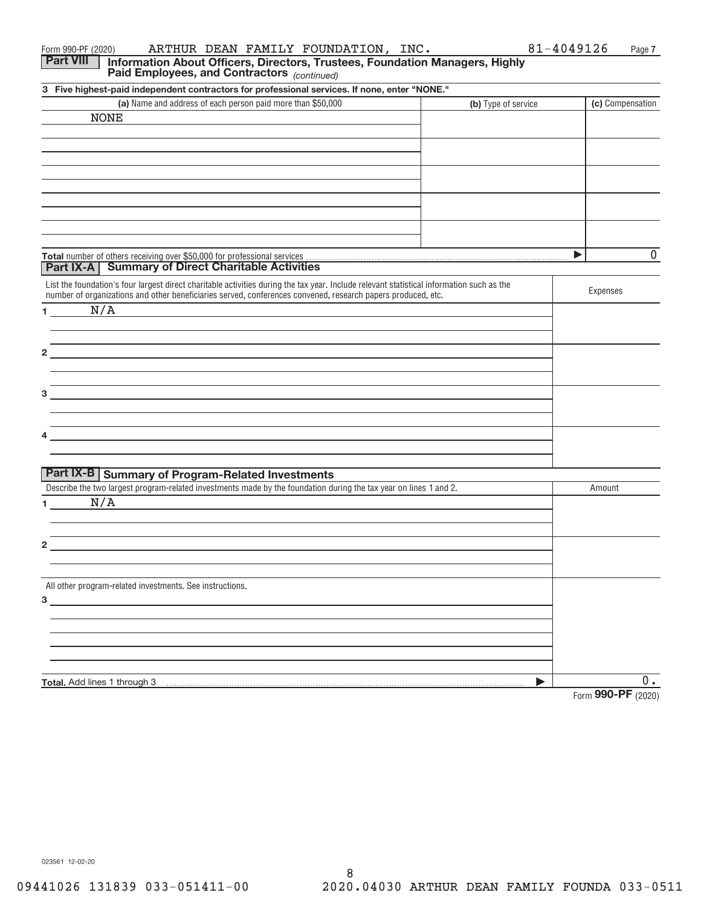| ARTHUR DEAN FAMILY FOUNDATION, INC.<br>Form 990-PF (2020)                                                                                                                                                                     | 81-4049126          | Page 7             |
|-------------------------------------------------------------------------------------------------------------------------------------------------------------------------------------------------------------------------------|---------------------|--------------------|
| <b>Part VIII</b><br>Information About Officers, Directors, Trustees, Foundation Managers, Highly<br>Paid Employees, and Contractors (continued)                                                                               |                     |                    |
| 3 Five highest-paid independent contractors for professional services. If none, enter "NONE."                                                                                                                                 |                     |                    |
| (a) Name and address of each person paid more than \$50,000                                                                                                                                                                   | (b) Type of service | (c) Compensation   |
| <b>NONE</b>                                                                                                                                                                                                                   |                     |                    |
|                                                                                                                                                                                                                               |                     |                    |
|                                                                                                                                                                                                                               |                     |                    |
|                                                                                                                                                                                                                               |                     |                    |
|                                                                                                                                                                                                                               |                     |                    |
|                                                                                                                                                                                                                               |                     |                    |
|                                                                                                                                                                                                                               |                     |                    |
|                                                                                                                                                                                                                               |                     |                    |
|                                                                                                                                                                                                                               |                     |                    |
|                                                                                                                                                                                                                               |                     | $\mathbf 0$<br>▶   |
| <b>Part IX-A   Summary of Direct Charitable Activities</b>                                                                                                                                                                    |                     |                    |
| List the foundation's four largest direct charitable activities during the tax year. Include relevant statistical information such as the                                                                                     |                     |                    |
| number of organizations and other beneficiaries served, conferences convened, research papers produced, etc.                                                                                                                  |                     | Expenses           |
| N/A<br>$1 \qquad \qquad$                                                                                                                                                                                                      |                     |                    |
|                                                                                                                                                                                                                               |                     |                    |
|                                                                                                                                                                                                                               |                     |                    |
| $\mathbf{2}$                                                                                                                                                                                                                  |                     |                    |
|                                                                                                                                                                                                                               |                     |                    |
| <u> 1989 - Johann Stoff, deutscher Stoff, der Stoff, der Stoff, der Stoff, der Stoff, der Stoff, der Stoff, der S</u>                                                                                                         |                     |                    |
| 3                                                                                                                                                                                                                             |                     |                    |
|                                                                                                                                                                                                                               |                     |                    |
| <u> 1989 - Johann Stoff, deutscher Stoff, der Stoff, der Stoff, der Stoff, der Stoff, der Stoff, der Stoff, der S</u>                                                                                                         |                     |                    |
| the control of the control of the control of the control of the control of the control of the control of the control of the control of the control of the control of the control of the control of the control of the control |                     |                    |
|                                                                                                                                                                                                                               |                     |                    |
| <b>Part IX-B   Summary of Program-Related Investments</b>                                                                                                                                                                     |                     |                    |
| Describe the two largest program-related investments made by the foundation during the tax year on lines 1 and 2.                                                                                                             |                     | Amount             |
| N/A<br>$1 \quad \Box$                                                                                                                                                                                                         |                     |                    |
|                                                                                                                                                                                                                               |                     |                    |
|                                                                                                                                                                                                                               |                     |                    |
| 2                                                                                                                                                                                                                             |                     |                    |
|                                                                                                                                                                                                                               |                     |                    |
|                                                                                                                                                                                                                               |                     |                    |
| All other program-related investments. See instructions.                                                                                                                                                                      |                     |                    |
| $3 \overline{3}$                                                                                                                                                                                                              |                     |                    |
|                                                                                                                                                                                                                               |                     |                    |
|                                                                                                                                                                                                                               |                     |                    |
|                                                                                                                                                                                                                               |                     |                    |
|                                                                                                                                                                                                                               |                     |                    |
|                                                                                                                                                                                                                               | ▶                   | $0$ .              |
| Total. Add lines 1 through 3                                                                                                                                                                                                  |                     | Form 990-PF (2020) |
|                                                                                                                                                                                                                               |                     |                    |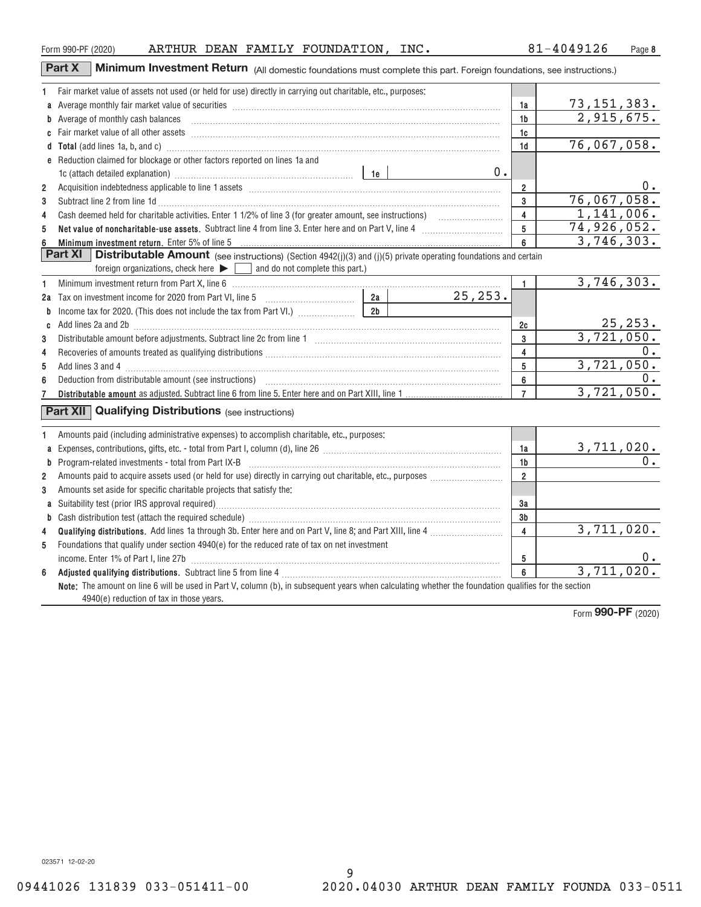4940(e) reduction of tax in those years.

9 09441026 131839 033-051411-00 2020.04030 ARTHUR DEAN FAMILY FOUNDA 033-0511

**3a 3b 4**

> **5 6**

> > Form (2020) **990+PF**

3,711,020.

3,711,020.

0.

|   | Fair market value of assets not used (or held for use) directly in carrying out charitable, etc., purposes:                                                                                                                         |                |            |                |                            |
|---|-------------------------------------------------------------------------------------------------------------------------------------------------------------------------------------------------------------------------------------|----------------|------------|----------------|----------------------------|
|   |                                                                                                                                                                                                                                     |                |            | 1a             | 73,151,383.                |
|   | b Average of monthly cash balances <b>constructed and all anoming the Average of monthly cash balances</b>                                                                                                                          |                |            | 1 <sub>b</sub> | 2,915,675.                 |
|   |                                                                                                                                                                                                                                     |                |            | 1c             |                            |
|   | d Total (add lines 1a, b, and c) <b>manufacture and contract and contract a</b> contract and contract and contract a contract and contract and contract a contract and contract and contract a contract a contract and contract a c |                |            | 1 <sub>d</sub> | 76,067,058.                |
|   | e Reduction claimed for blockage or other factors reported on lines 1a and                                                                                                                                                          |                |            |                |                            |
|   |                                                                                                                                                                                                                                     |                | 0.         |                |                            |
| 2 |                                                                                                                                                                                                                                     |                |            | $\overline{2}$ | $0$ .                      |
| 3 | Subtract line 2 from line 1d <b>Machinese and Contract Line 2</b> from line 1d <b>machinese and contract line 2</b> from line 1d                                                                                                    |                |            | 3              | 76,067,058.                |
| 4 |                                                                                                                                                                                                                                     | $\overline{4}$ | 1,141,006. |                |                            |
| 5 | Net value of noncharitable-use assets. Subtract line 4 from line 3. Enter here and on Part V, line 4 [11, 11, 11] Net value of noncharitable-use assets. Subtract line 4 [11] $\sim$ 0.15 and 100 Part V, line 4 [11] $\sim$ 0.15   |                |            | 5              | 74,926,052.                |
| 6 | Minimum investment return. Enter 5% of line 5 Minimum and the content of the content of the state of the state of the state of the state of the state of the state of the state of the state of the state of the state of the       |                |            | 6              | 3,746,303.                 |
|   | Part XI<br><b>Distributable Amount</b> (see instructions) (Section 4942(j)(3) and (j)(5) private operating foundations and certain                                                                                                  |                |            |                |                            |
|   | foreign organizations, check here $\blacktriangleright \lceil \cdot \rceil$ and do not complete this part.)                                                                                                                         |                |            |                |                            |
| 1 | Minimum investment return from Part X, line 6 [11] Martham Martin Martin Martin Martin Martin Martin Martin Ma                                                                                                                      |                |            | 1              | 3,746,303.                 |
|   |                                                                                                                                                                                                                                     |                | 25, 253.   |                |                            |
|   | <b>b</b> Income tax for 2020. (This does not include the tax from Part VI.) $\ldots$ $\ldots$ $\qquad$ 2b                                                                                                                           |                |            |                |                            |
|   | c Add lines 2a and 2b (11) contains a substitution of the contract of the contract of the contract of the contract of the contract of the contract of the contract of the contract of the contract of the contract of the cont      |                |            | 2c             | $\frac{25,253}{3,721,050}$ |
| 3 |                                                                                                                                                                                                                                     | 3              |            |                |                            |
| 4 |                                                                                                                                                                                                                                     |                | 4          | 0.             |                            |
| 5 |                                                                                                                                                                                                                                     |                |            | 5              | 3,721,050.                 |
| 6 |                                                                                                                                                                                                                                     |                |            | 6              | $0$ .                      |
|   |                                                                                                                                                                                                                                     |                |            | $\overline{7}$ | 3,721,050.                 |
|   | <b>Part XII Qualifying Distributions</b> (see instructions)                                                                                                                                                                         |                |            |                |                            |
|   |                                                                                                                                                                                                                                     |                |            |                |                            |
|   | Amounts paid (including administrative expenses) to accomplish charitable, etc., purposes:                                                                                                                                          |                |            |                |                            |
|   |                                                                                                                                                                                                                                     |                |            | 1a             | 3,711,020.                 |
|   |                                                                                                                                                                                                                                     |                |            | 1b             | 0.                         |
| 2 |                                                                                                                                                                                                                                     |                |            | $\overline{2}$ |                            |
| 3 | Amounts set aside for specific charitable projects that satisfy the:                                                                                                                                                                |                |            |                |                            |

**Qualifying distributions.** Add lines 1a through 3b. Enter here and on Part V, line 8; and Part XIII, line 4  $\ldots$ …………………

Foundations that qualify under section 4940(e) for the reduced rate of tax on net investment

Suitability test (prior IRS approval required) ~~~~~~~~~~~~~~~~~~~~~~~~~~~~~~~~~~~ Cash distribution test (attach the required schedule) ~~~~~~~~~~~~~~~~~~~~~~~~~~~~~~~

**Adjusted qualifying distributions.** Subtract line 5 from line 4 ~~~~~~~~~~~~~~~~~~~~~~~~~~~

income. Enter 1% of Part I, line 27b ~~~~~~~~~~~~~~~~~~~~~~~~~~~~~~~~~~~~~~

**Note:** The amount on line 6 will be used in Part V, column (b), in subsequent years when calculating whether the foundation qualifies for the section

| <b>Part X</b>   Minimum Investment Return (All domestic foundations must complete this part. Foreign foundations, see instructions ` |
|--------------------------------------------------------------------------------------------------------------------------------------|
|--------------------------------------------------------------------------------------------------------------------------------------|

**2 3 4**

> **1 2**

**1**

**2 3**

**4 5**

**a b**

**6**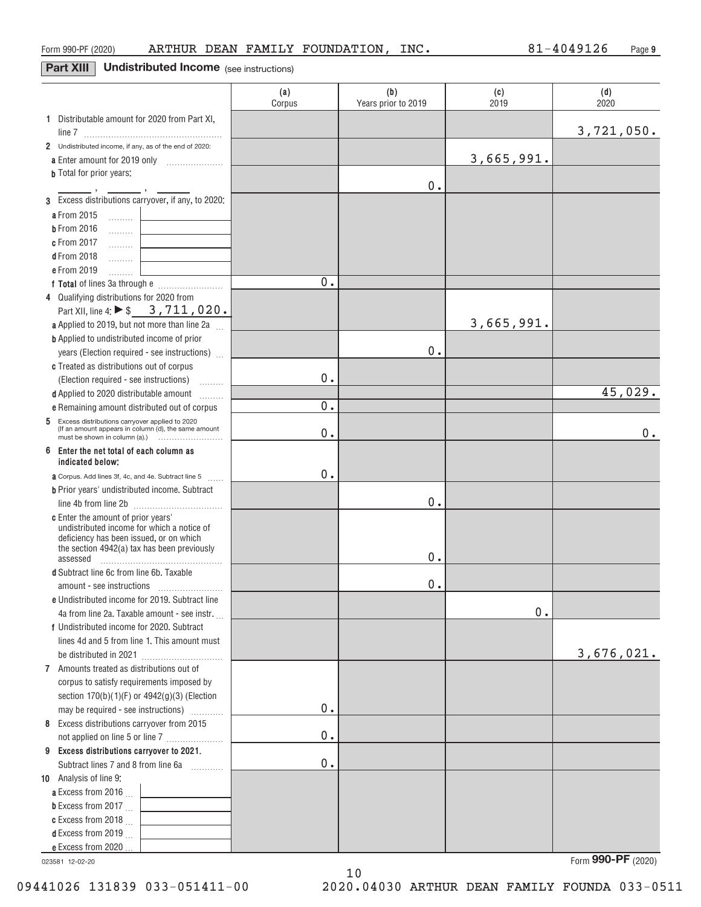## **Part XIII** Undistributed Income (see instructions)

|                                                                                       | (a)<br>Corpus | (b)<br>Years prior to 2019 | (c)<br>2019 | (d)<br>2020 |
|---------------------------------------------------------------------------------------|---------------|----------------------------|-------------|-------------|
| 1 Distributable amount for 2020 from Part XI,                                         |               |                            |             |             |
|                                                                                       |               |                            |             | 3,721,050.  |
| 2 Undistributed income, if any, as of the end of 2020:                                |               |                            |             |             |
|                                                                                       |               |                            | 3,665,991.  |             |
| <b>b</b> Total for prior years:                                                       |               |                            |             |             |
| 3 Excess distributions carryover, if any, to 2020:                                    |               | 0.                         |             |             |
| a From 2015                                                                           |               |                            |             |             |
| 1.1.1.1.1.1<br><b>b</b> From 2016                                                     |               |                            |             |             |
| .<br>c From 2017                                                                      |               |                            |             |             |
| .<br><b>d</b> From 2018                                                               |               |                            |             |             |
| .<br>e From 2019<br><u>.</u>                                                          |               |                            |             |             |
|                                                                                       | 0.            |                            |             |             |
| 4 Qualifying distributions for 2020 from                                              |               |                            |             |             |
| Part XII, line 4: ▶ \$ 3, 711, 020.                                                   |               |                            |             |             |
| a Applied to 2019, but not more than line 2a                                          |               |                            | 3,665,991.  |             |
| <b>b</b> Applied to undistributed income of prior                                     |               |                            |             |             |
| years (Election required - see instructions)                                          |               | 0.                         |             |             |
| c Treated as distributions out of corpus                                              |               |                            |             |             |
| (Election required - see instructions)                                                | 0.            |                            |             |             |
| d Applied to 2020 distributable amount                                                |               |                            |             | 45,029.     |
| e Remaining amount distributed out of corpus                                          | 0.            |                            |             |             |
| Excess distributions carryover applied to 2020<br>5                                   |               |                            |             |             |
| (If an amount appears in column (d), the same amount                                  | Ο.            |                            |             | 0.          |
| 6<br>Enter the net total of each column as<br>indicated below:                        |               |                            |             |             |
| <b>a</b> Corpus. Add lines 3f, 4c, and 4e. Subtract line 5                            | 0.            |                            |             |             |
| <b>b</b> Prior years' undistributed income. Subtract                                  |               |                            |             |             |
|                                                                                       |               | 0.                         |             |             |
| c Enter the amount of prior years'                                                    |               |                            |             |             |
| undistributed income for which a notice of<br>deficiency has been issued, or on which |               |                            |             |             |
| the section 4942(a) tax has been previously                                           |               |                            |             |             |
| assessed                                                                              |               | 0.                         |             |             |
| d Subtract line 6c from line 6b. Taxable                                              |               |                            |             |             |
|                                                                                       |               | $0$ .                      |             |             |
| e Undistributed income for 2019. Subtract line                                        |               |                            |             |             |
| 4a from line 2a. Taxable amount - see instr.                                          |               |                            | $0$ .       |             |
| f Undistributed income for 2020. Subtract                                             |               |                            |             |             |
| lines 4d and 5 from line 1. This amount must                                          |               |                            |             |             |
|                                                                                       |               |                            |             | 3,676,021.  |
| 7 Amounts treated as distributions out of                                             |               |                            |             |             |
| corpus to satisfy requirements imposed by                                             |               |                            |             |             |
| section 170(b)(1)(F) or 4942(g)(3) (Election                                          | 0.            |                            |             |             |
| may be required - see instructions)                                                   |               |                            |             |             |
| 8 Excess distributions carryover from 2015                                            | $0$ .         |                            |             |             |
| 9 Excess distributions carryover to 2021.                                             |               |                            |             |             |
| Subtract lines 7 and 8 from line 6a                                                   | 0.            |                            |             |             |
| 10 Analysis of line 9:                                                                |               |                            |             |             |
| a Excess from 2016.                                                                   |               |                            |             |             |
| <b>b</b> Excess from 2017 $\ldots$                                                    |               |                            |             |             |
| c Excess from 2018                                                                    |               |                            |             |             |
| <b>d</b> Excess from 2019                                                             |               |                            |             |             |
| e Excess from 2020                                                                    |               |                            |             |             |

10

023581 12+02+20

Form (2020) **990+PF**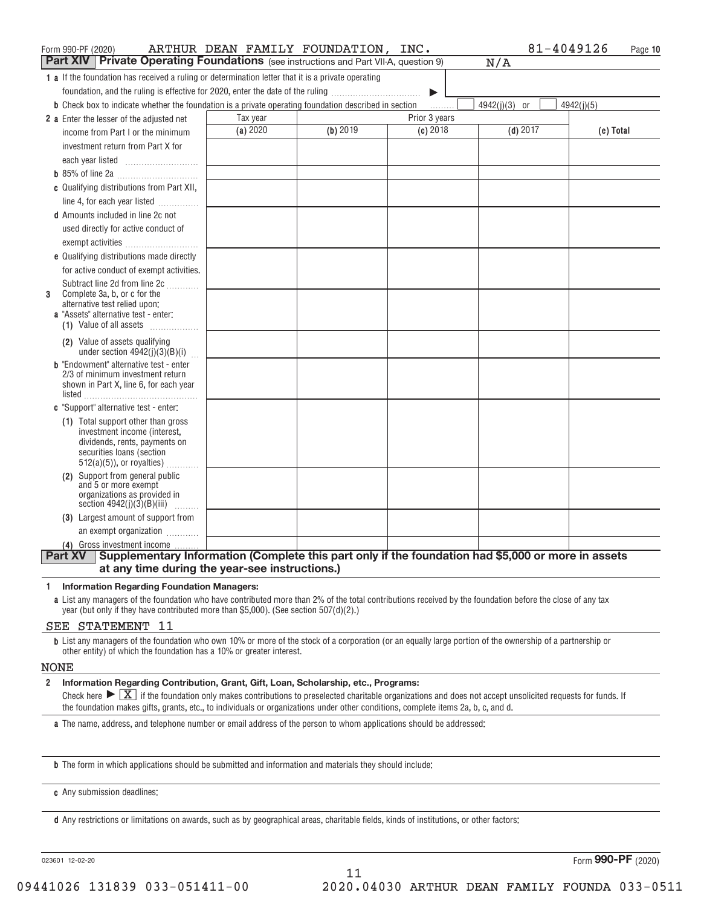| Form 990-PF (2020)                                                                                                   | ARTHUR DEAN FAMILY FOUNDATION, INC. |          |               | 81-4049126      | Page 10    |
|----------------------------------------------------------------------------------------------------------------------|-------------------------------------|----------|---------------|-----------------|------------|
| <b>Part XIV</b><br>Private Operating Foundations (see instructions and Part VII-A, question 9)                       |                                     |          |               | N/A             |            |
| 1 a If the foundation has received a ruling or determination letter that it is a private operating                   |                                     |          |               |                 |            |
| foundation, and the ruling is effective for 2020, enter the date of the ruling                                       |                                     |          | ▶             |                 |            |
| <b>b</b> Check box to indicate whether the foundation is a private operating foundation described in section         |                                     |          | .             | $4942(j)(3)$ or | 4942(i)(5) |
| 2 a Enter the lesser of the adjusted net                                                                             | Tax year                            |          | Prior 3 years |                 |            |
| income from Part I or the minimum                                                                                    | (a) 2020                            | (b) 2019 | $(c)$ 2018    | $(d)$ 2017      | (e) Total  |
| investment return from Part X for                                                                                    |                                     |          |               |                 |            |
|                                                                                                                      |                                     |          |               |                 |            |
|                                                                                                                      |                                     |          |               |                 |            |
| c Qualifying distributions from Part XII,                                                                            |                                     |          |               |                 |            |
| line 4, for each year listed                                                                                         |                                     |          |               |                 |            |
| <b>d</b> Amounts included in line 2c not                                                                             |                                     |          |               |                 |            |
| used directly for active conduct of                                                                                  |                                     |          |               |                 |            |
| exempt activities                                                                                                    |                                     |          |               |                 |            |
| e Qualifying distributions made directly                                                                             |                                     |          |               |                 |            |
| for active conduct of exempt activities.                                                                             |                                     |          |               |                 |            |
| Subtract line 2d from line 2c                                                                                        |                                     |          |               |                 |            |
| Complete 3a, b, or c for the<br>3                                                                                    |                                     |          |               |                 |            |
| alternative test relied upon:<br>a "Assets" alternative test - enter:                                                |                                     |          |               |                 |            |
| (1) Value of all assets                                                                                              |                                     |          |               |                 |            |
| (2) Value of assets qualifying                                                                                       |                                     |          |               |                 |            |
| under section $4942(j)(3)(B)(i)$                                                                                     |                                     |          |               |                 |            |
| <b>b</b> "Endowment" alternative test - enter                                                                        |                                     |          |               |                 |            |
| 2/3 of minimum investment return                                                                                     |                                     |          |               |                 |            |
| shown in Part X, line 6, for each year                                                                               |                                     |          |               |                 |            |
| c "Support" alternative test - enter:                                                                                |                                     |          |               |                 |            |
| (1) Total support other than gross                                                                                   |                                     |          |               |                 |            |
| investment income (interest,                                                                                         |                                     |          |               |                 |            |
| dividends, rents, payments on                                                                                        |                                     |          |               |                 |            |
| securities loans (section<br>$512(a)(5)$ , or royalties)                                                             |                                     |          |               |                 |            |
| (2) Support from general public                                                                                      |                                     |          |               |                 |            |
| and 5 or more exempt                                                                                                 |                                     |          |               |                 |            |
| organizations as provided in<br>section $4942(j)(3)(B)(iii)$                                                         |                                     |          |               |                 |            |
| .<br>(3) Largest amount of support from                                                                              |                                     |          |               |                 |            |
| an exempt organization                                                                                               |                                     |          |               |                 |            |
| (4) Gross investment income                                                                                          |                                     |          |               |                 |            |
| Supplementary Information (Complete this part only if the foundation had \$5,000 or more in assets<br><b>Part XV</b> |                                     |          |               |                 |            |
| at any time during the year-see instructions.)                                                                       |                                     |          |               |                 |            |

#### **1 Information Regarding Foundation Managers:**

**a** List any managers of the foundation who have contributed more than 2% of the total contributions received by the foundation before the close of any tax year (but only if they have contributed more than \$5,000). (See section 507(d)(2).)

#### SEE STATEMENT 11

**b** List any managers of the foundation who own 10% or more of the stock of a corporation (or an equally large portion of the ownership of a partnership or other entity) of which the foundation has a 10% or greater interest.

#### NONE

#### **2 Information Regarding Contribution, Grant, Gift, Loan, Scholarship, etc., Programs:**

Information Regarding Contribution, Grant, Gift, Loan, Scholarship, etc., Programs:<br>Check here  $\blacktriangleright\boxed{\text{X}}$  if the foundation only makes contributions to preselected charitable organizations and does not accept unsolici the foundation makes gifts, grants, etc., to individuals or organizations under other conditions, complete items 2a, b, c, and d.

11

**a** The name, address, and telephone number or email address of the person to whom applications should be addressed:

**b** The form in which applications should be submitted and information and materials they should include:

**c** Any submission deadlines:

**d** Any restrictions or limitations on awards, such as by geographical areas, charitable fields, kinds of institutions, or other factors:

023601 12+02+20

Form (2020) **990+PF**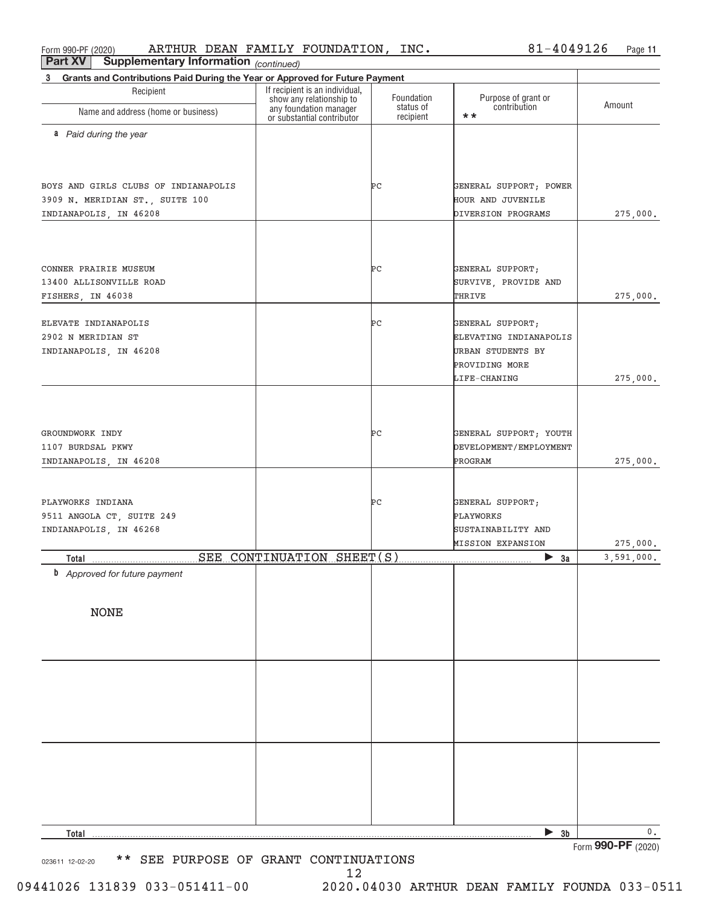Form 990+PF (2020) Page ARTHUR DEAN FAMILY FOUNDATION, INC. 81+4049126

*(continued)* **Part XV** Supplementary Information

| Grants and Contributions Paid During the Year or Approved for Future Payment<br>3 |                                                            |                        |                              |                    |  |  |  |  |
|-----------------------------------------------------------------------------------|------------------------------------------------------------|------------------------|------------------------------|--------------------|--|--|--|--|
| Recipient                                                                         | If recipient is an individual,<br>show any relationship to | Foundation             | Purpose of grant or          |                    |  |  |  |  |
| Name and address (home or business)                                               | any foundation manager<br>or substantial contributor       | status of<br>recipient | contribution<br>$\star\star$ | Amount             |  |  |  |  |
| a Paid during the year                                                            |                                                            |                        |                              |                    |  |  |  |  |
|                                                                                   |                                                            |                        |                              |                    |  |  |  |  |
|                                                                                   |                                                            |                        |                              |                    |  |  |  |  |
| BOYS AND GIRLS CLUBS OF INDIANAPOLIS                                              |                                                            | ÞС                     | GENERAL SUPPORT; POWER       |                    |  |  |  |  |
| 3909 N. MERIDIAN ST., SUITE 100                                                   |                                                            |                        | HOUR AND JUVENILE            |                    |  |  |  |  |
| INDIANAPOLIS, IN 46208                                                            |                                                            |                        | DIVERSION PROGRAMS           | 275,000.           |  |  |  |  |
|                                                                                   |                                                            |                        |                              |                    |  |  |  |  |
|                                                                                   |                                                            |                        |                              |                    |  |  |  |  |
| CONNER PRAIRIE MUSEUM                                                             |                                                            | ÞС                     | GENERAL SUPPORT;             |                    |  |  |  |  |
| 13400 ALLISONVILLE ROAD                                                           |                                                            |                        | SURVIVE, PROVIDE AND         |                    |  |  |  |  |
| FISHERS, IN 46038                                                                 |                                                            |                        | THRIVE                       | 275,000.           |  |  |  |  |
| ELEVATE INDIANAPOLIS                                                              |                                                            | ÞС                     | GENERAL SUPPORT;             |                    |  |  |  |  |
| 2902 N MERIDIAN ST                                                                |                                                            |                        | ELEVATING INDIANAPOLIS       |                    |  |  |  |  |
| INDIANAPOLIS, IN 46208                                                            |                                                            |                        | URBAN STUDENTS BY            |                    |  |  |  |  |
|                                                                                   |                                                            |                        | PROVIDING MORE               |                    |  |  |  |  |
|                                                                                   |                                                            |                        | LIFE-CHANING                 | 275,000.           |  |  |  |  |
|                                                                                   |                                                            |                        |                              |                    |  |  |  |  |
|                                                                                   |                                                            |                        |                              |                    |  |  |  |  |
| GROUNDWORK INDY                                                                   |                                                            | ÞС                     | GENERAL SUPPORT; YOUTH       |                    |  |  |  |  |
| 1107 BURDSAL PKWY                                                                 |                                                            |                        | DEVELOPMENT/EMPLOYMENT       |                    |  |  |  |  |
| INDIANAPOLIS, IN 46208                                                            |                                                            |                        | PROGRAM                      | 275,000.           |  |  |  |  |
|                                                                                   |                                                            |                        |                              |                    |  |  |  |  |
| PLAYWORKS INDIANA                                                                 |                                                            | ÞС                     | GENERAL SUPPORT;             |                    |  |  |  |  |
| 9511 ANGOLA CT, SUITE 249                                                         |                                                            |                        | PLAYWORKS                    |                    |  |  |  |  |
| INDIANAPOLIS, IN 46268                                                            |                                                            |                        | SUSTAINABILITY AND           |                    |  |  |  |  |
|                                                                                   |                                                            |                        | <b>MISSION EXPANSION</b>     | 275,000.           |  |  |  |  |
| Total                                                                             | SEE CONTINUATION SHEET(S)                                  |                        | $\triangleright$ 3a          | 3,591,000.         |  |  |  |  |
| <b>b</b> Approved for future payment                                              |                                                            |                        |                              |                    |  |  |  |  |
|                                                                                   |                                                            |                        |                              |                    |  |  |  |  |
| <b>NONE</b>                                                                       |                                                            |                        |                              |                    |  |  |  |  |
|                                                                                   |                                                            |                        |                              |                    |  |  |  |  |
|                                                                                   |                                                            |                        |                              |                    |  |  |  |  |
|                                                                                   |                                                            |                        |                              |                    |  |  |  |  |
|                                                                                   |                                                            |                        |                              |                    |  |  |  |  |
|                                                                                   |                                                            |                        |                              |                    |  |  |  |  |
|                                                                                   |                                                            |                        |                              |                    |  |  |  |  |
|                                                                                   |                                                            |                        |                              |                    |  |  |  |  |
|                                                                                   |                                                            |                        |                              |                    |  |  |  |  |
|                                                                                   |                                                            |                        |                              |                    |  |  |  |  |
|                                                                                   |                                                            |                        |                              |                    |  |  |  |  |
|                                                                                   |                                                            |                        |                              |                    |  |  |  |  |
| Total                                                                             |                                                            |                        | $\triangleright$ 3b          | $\mathsf{0}$ .     |  |  |  |  |
|                                                                                   |                                                            |                        |                              | Form 990-PF (2020) |  |  |  |  |

023611 12-02-20 \*\* SEE PURPOSE OF GRANT CONTINUATIONS

12

09441026 131839 033-051411-00 2020.04030 ARTHUR DEAN FAMILY FOUNDA 033-0511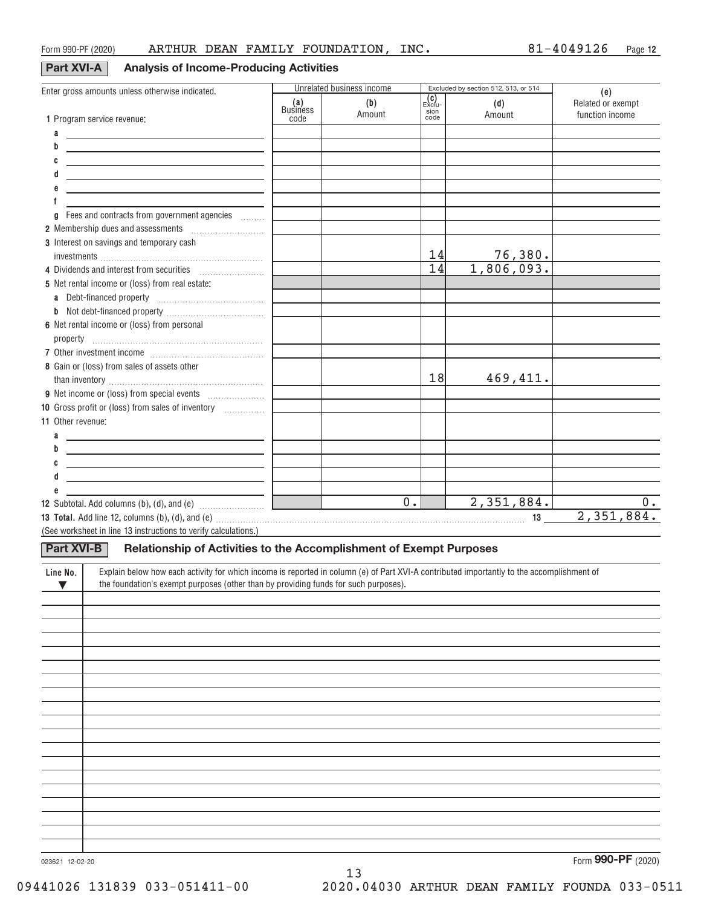## **Part XVI+A Analysis of Income+Producing Activities**

| Enter gross amounts unless otherwise indicated.                                                                                                       |                 | Unrelated business income |                                                 | Excluded by section 512, 513, or 514 | (e)               |
|-------------------------------------------------------------------------------------------------------------------------------------------------------|-----------------|---------------------------|-------------------------------------------------|--------------------------------------|-------------------|
|                                                                                                                                                       | (a)<br>Business | (b)                       | $\begin{bmatrix} c \\ E \times c \end{bmatrix}$ | (d)                                  | Related or exempt |
| 1 Program service revenue:                                                                                                                            | code            | Amount                    | sion<br>code                                    | Amount                               | function income   |
| a                                                                                                                                                     |                 |                           |                                                 |                                      |                   |
| <u> 1989 - Johann Stein, mars and de Branch and de Branch and de Branch and de Branch and de Branch and de Branch</u><br>b                            |                 |                           |                                                 |                                      |                   |
| <u> 1989 - Johann Stoff, deutscher Stoff, der Stoff, der Stoff, der Stoff, der Stoff, der Stoff, der Stoff, der S</u>                                 |                 |                           |                                                 |                                      |                   |
| C<br><u> 1989 - Johann John Stone, markin fizikar (h. 1989).</u>                                                                                      |                 |                           |                                                 |                                      |                   |
| <u> 1989 - Johann Stoff, fransk konge og det ble stoffen og det ble stoffen og det ble stoffen og det ble stoffen</u>                                 |                 |                           |                                                 |                                      |                   |
| <u> 1989 - Johann John Stone, markin fizikar (h. 1982).</u>                                                                                           |                 |                           |                                                 |                                      |                   |
|                                                                                                                                                       |                 |                           |                                                 |                                      |                   |
| Fees and contracts from government agencies<br>a                                                                                                      |                 |                           |                                                 |                                      |                   |
| 2 Membership dues and assessments [111] Membership dues and assessments                                                                               |                 |                           |                                                 |                                      |                   |
| 3 Interest on savings and temporary cash                                                                                                              |                 |                           |                                                 |                                      |                   |
|                                                                                                                                                       |                 |                           | 14                                              | $\frac{76,380}{1,806,093}$ .         |                   |
| 4 Dividends and interest from securities                                                                                                              |                 |                           | $\overline{14}$                                 |                                      |                   |
| 5 Net rental income or (loss) from real estate:                                                                                                       |                 |                           |                                                 |                                      |                   |
|                                                                                                                                                       |                 |                           |                                                 |                                      |                   |
| b                                                                                                                                                     |                 |                           |                                                 |                                      |                   |
| 6 Net rental income or (loss) from personal                                                                                                           |                 |                           |                                                 |                                      |                   |
|                                                                                                                                                       |                 |                           |                                                 |                                      |                   |
|                                                                                                                                                       |                 |                           |                                                 |                                      |                   |
|                                                                                                                                                       |                 |                           |                                                 |                                      |                   |
| 8 Gain or (loss) from sales of assets other                                                                                                           |                 |                           | 18                                              |                                      |                   |
|                                                                                                                                                       |                 |                           |                                                 | 469,411.                             |                   |
|                                                                                                                                                       |                 |                           |                                                 |                                      |                   |
| 10 Gross profit or (loss) from sales of inventory                                                                                                     |                 |                           |                                                 |                                      |                   |
| 11 Other revenue:                                                                                                                                     |                 |                           |                                                 |                                      |                   |
| <u> 1989 - Johann Barn, amerikansk politiker (</u>                                                                                                    |                 |                           |                                                 |                                      |                   |
| b<br><u> 1989 - Johann Barn, mars ann an t-Amhair an t-Amhair an t-Amhair an t-Amhair an t-Amhair an t-Amhair an t-Amh</u>                            |                 |                           |                                                 |                                      |                   |
| <u> 1989 - Johann Barn, mars ann an t-Amhair ann an t-Amhair an t-Amhair an t-Amhair an t-Amhair ann an t-Amhair </u>                                 |                 |                           |                                                 |                                      |                   |
| <u> 1989 - Johann John Stone, markin fizikar (</u>                                                                                                    |                 |                           |                                                 |                                      |                   |
|                                                                                                                                                       |                 |                           |                                                 |                                      |                   |
| <b>12</b> Subtotal. Add columns (b), (d), and (e) $\ldots$ [                                                                                          |                 | $\overline{0}$ .          |                                                 | 2,351,884.                           | 0.                |
|                                                                                                                                                       |                 |                           |                                                 |                                      | 2,351,884.        |
| (See worksheet in line 13 instructions to verify calculations.)                                                                                       |                 |                           |                                                 |                                      |                   |
|                                                                                                                                                       |                 |                           |                                                 |                                      |                   |
| Part XVI-B<br>Relationship of Activities to the Accomplishment of Exempt Purposes                                                                     |                 |                           |                                                 |                                      |                   |
| Explain below how each activity for which income is reported in column (e) of Part XVI-A contributed importantly to the accomplishment of<br>Line No. |                 |                           |                                                 |                                      |                   |
| the foundation's exempt purposes (other than by providing funds for such purposes).<br>$\blacktriangledown$                                           |                 |                           |                                                 |                                      |                   |
|                                                                                                                                                       |                 |                           |                                                 |                                      |                   |
|                                                                                                                                                       |                 |                           |                                                 |                                      |                   |
|                                                                                                                                                       |                 |                           |                                                 |                                      |                   |
|                                                                                                                                                       |                 |                           |                                                 |                                      |                   |
|                                                                                                                                                       |                 |                           |                                                 |                                      |                   |
|                                                                                                                                                       |                 |                           |                                                 |                                      |                   |
|                                                                                                                                                       |                 |                           |                                                 |                                      |                   |
|                                                                                                                                                       |                 |                           |                                                 |                                      |                   |
|                                                                                                                                                       |                 |                           |                                                 |                                      |                   |
|                                                                                                                                                       |                 |                           |                                                 |                                      |                   |
|                                                                                                                                                       |                 |                           |                                                 |                                      |                   |
|                                                                                                                                                       |                 |                           |                                                 |                                      |                   |
|                                                                                                                                                       |                 |                           |                                                 |                                      |                   |
|                                                                                                                                                       |                 |                           |                                                 |                                      |                   |
|                                                                                                                                                       |                 |                           |                                                 |                                      |                   |
|                                                                                                                                                       |                 |                           |                                                 |                                      |                   |
|                                                                                                                                                       |                 |                           |                                                 |                                      |                   |
|                                                                                                                                                       |                 |                           |                                                 |                                      |                   |
|                                                                                                                                                       |                 |                           |                                                 |                                      |                   |
|                                                                                                                                                       |                 |                           |                                                 |                                      |                   |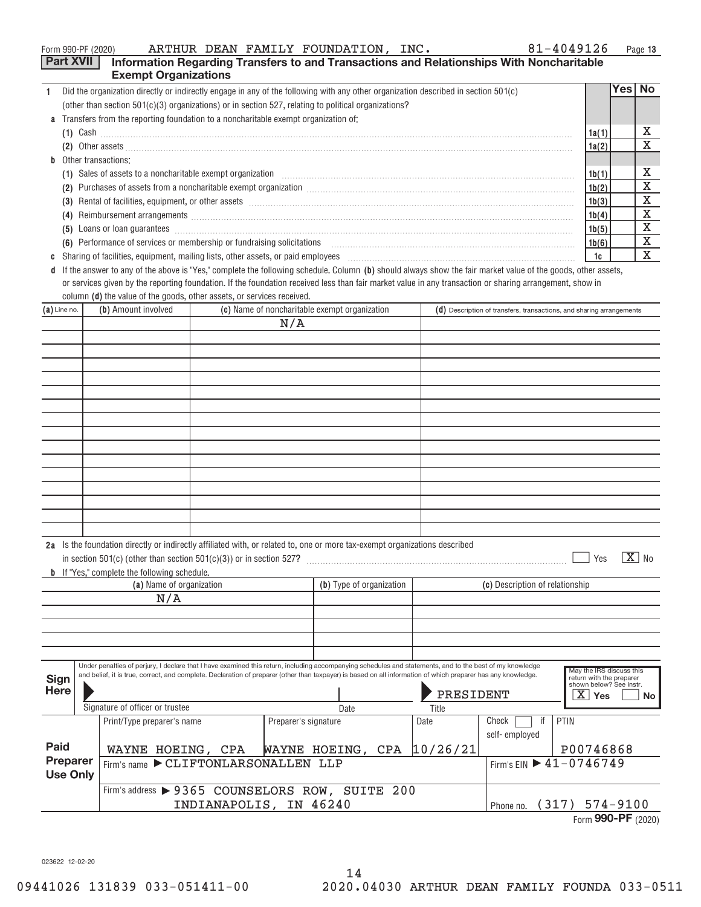|   | 81-4049126<br>ARTHUR DEAN FAMILY FOUNDATION, INC.<br>Form 990-PF (2020)                                                                                                                                                                         |       |          | Page 13 |
|---|-------------------------------------------------------------------------------------------------------------------------------------------------------------------------------------------------------------------------------------------------|-------|----------|---------|
|   | <b>Part XVII</b><br>Information Regarding Transfers to and Transactions and Relationships With Noncharitable                                                                                                                                    |       |          |         |
|   | <b>Exempt Organizations</b>                                                                                                                                                                                                                     |       |          |         |
|   | Did the organization directly or indirectly engage in any of the following with any other organization described in section 501(c)                                                                                                              |       | Yes   No |         |
|   | (other than section $501(c)(3)$ organizations) or in section 527, relating to political organizations?                                                                                                                                          |       |          |         |
|   | <b>a</b> Transfers from the reporting foundation to a noncharitable exempt organization of:                                                                                                                                                     |       |          |         |
|   | (1) Cash $\ldots$                                                                                                                                                                                                                               | 1a(1) |          | х       |
|   |                                                                                                                                                                                                                                                 | 1a(2) |          | x       |
|   | <b>b</b> Other transactions:                                                                                                                                                                                                                    |       |          |         |
|   |                                                                                                                                                                                                                                                 | 1b(1) |          | х       |
|   | Purchases of assets from a noncharitable exempt organization <i>[100]</i> manufactured and all exercises of assets from a noncharitable exempt organization <i>[100]</i> manufactured and a set of a set of a set of a set of a set of a<br>(2) | 1b(2) |          | X       |
|   | (3)                                                                                                                                                                                                                                             | 1b(3) |          | X       |
|   | Reimbursement arrangements [111] March 2016 (2016) 2017 (2016) 2017 2018 2019 2016 2017 2018 2019 2019 2019 201<br>(4)                                                                                                                          | 1b(4) |          | х       |
|   | (5)                                                                                                                                                                                                                                             | 1b(5) |          | X       |
|   | (6) Performance of services or membership or fundraising solicitations [11] content to content the performance of services or membership or fundraising solicitations [11] [12] content to Performance of services or membersh                  | 1b(6) |          | х       |
| C | Sharing of facilities, equipment, mailing lists, other assets, or paid employees [11] content to the content of facilities, equipment, mailing lists, other assets, or paid employees [11] content to the content of the conte                  | 1c    |          | х       |
|   | d If the answer to any of the above is "Yes," complete the following schedule. Column (b) should always show the fair market value of the goods, other assets,                                                                                  |       |          |         |

column **(d)** the value of the goods, other assets, or services received. or services given by the reporting foundation. If the foundation received less than fair market value in any transaction or sharing arrangement, show in

| $(a)$ Line no.                                                                                                                                                                                                | (b) Amount involved<br>(c) Name of noncharitable exempt organization                                                                                                                                                                                                                                                      |                                                 |                        | $(d)$ Description of transfers, transactions, and sharing arrangements |                   |                                 |                                                                                              |                                        |
|---------------------------------------------------------------------------------------------------------------------------------------------------------------------------------------------------------------|---------------------------------------------------------------------------------------------------------------------------------------------------------------------------------------------------------------------------------------------------------------------------------------------------------------------------|-------------------------------------------------|------------------------|------------------------------------------------------------------------|-------------------|---------------------------------|----------------------------------------------------------------------------------------------|----------------------------------------|
|                                                                                                                                                                                                               |                                                                                                                                                                                                                                                                                                                           |                                                 |                        | N/A                                                                    |                   |                                 |                                                                                              |                                        |
|                                                                                                                                                                                                               |                                                                                                                                                                                                                                                                                                                           |                                                 |                        |                                                                        |                   |                                 |                                                                                              |                                        |
|                                                                                                                                                                                                               |                                                                                                                                                                                                                                                                                                                           |                                                 |                        |                                                                        |                   |                                 |                                                                                              |                                        |
|                                                                                                                                                                                                               |                                                                                                                                                                                                                                                                                                                           |                                                 |                        |                                                                        |                   |                                 |                                                                                              |                                        |
|                                                                                                                                                                                                               |                                                                                                                                                                                                                                                                                                                           |                                                 |                        |                                                                        |                   |                                 |                                                                                              |                                        |
|                                                                                                                                                                                                               |                                                                                                                                                                                                                                                                                                                           |                                                 |                        |                                                                        |                   |                                 |                                                                                              |                                        |
|                                                                                                                                                                                                               |                                                                                                                                                                                                                                                                                                                           |                                                 |                        |                                                                        |                   |                                 |                                                                                              |                                        |
|                                                                                                                                                                                                               |                                                                                                                                                                                                                                                                                                                           |                                                 |                        |                                                                        |                   |                                 |                                                                                              |                                        |
|                                                                                                                                                                                                               |                                                                                                                                                                                                                                                                                                                           |                                                 |                        |                                                                        |                   |                                 |                                                                                              |                                        |
|                                                                                                                                                                                                               |                                                                                                                                                                                                                                                                                                                           |                                                 |                        |                                                                        |                   |                                 |                                                                                              |                                        |
|                                                                                                                                                                                                               |                                                                                                                                                                                                                                                                                                                           |                                                 |                        |                                                                        |                   |                                 |                                                                                              |                                        |
|                                                                                                                                                                                                               |                                                                                                                                                                                                                                                                                                                           |                                                 |                        |                                                                        |                   |                                 |                                                                                              |                                        |
|                                                                                                                                                                                                               |                                                                                                                                                                                                                                                                                                                           |                                                 |                        |                                                                        |                   |                                 |                                                                                              |                                        |
|                                                                                                                                                                                                               |                                                                                                                                                                                                                                                                                                                           |                                                 |                        |                                                                        |                   |                                 |                                                                                              |                                        |
|                                                                                                                                                                                                               |                                                                                                                                                                                                                                                                                                                           |                                                 |                        |                                                                        |                   |                                 |                                                                                              |                                        |
| 2a Is the foundation directly or indirectly affiliated with, or related to, one or more tax-exempt organizations described<br><b>b</b> If "Yes," complete the following schedule.<br>(a) Name of organization |                                                                                                                                                                                                                                                                                                                           |                                                 |                        | (b) Type of organization                                               |                   | (c) Description of relationship | $X$ No<br>Yes                                                                                |                                        |
|                                                                                                                                                                                                               |                                                                                                                                                                                                                                                                                                                           | N/A                                             |                        |                                                                        |                   |                                 |                                                                                              |                                        |
|                                                                                                                                                                                                               |                                                                                                                                                                                                                                                                                                                           |                                                 |                        |                                                                        |                   |                                 |                                                                                              |                                        |
|                                                                                                                                                                                                               |                                                                                                                                                                                                                                                                                                                           |                                                 |                        |                                                                        |                   |                                 |                                                                                              |                                        |
|                                                                                                                                                                                                               |                                                                                                                                                                                                                                                                                                                           |                                                 |                        |                                                                        |                   |                                 |                                                                                              |                                        |
|                                                                                                                                                                                                               |                                                                                                                                                                                                                                                                                                                           |                                                 |                        |                                                                        |                   |                                 |                                                                                              |                                        |
| Sign<br><b>Here</b>                                                                                                                                                                                           | Under penalties of perjury, I declare that I have examined this return, including accompanying schedules and statements, and to the best of my knowledge<br>and belief, it is true, correct, and complete. Declaration of preparer (other than taxpayer) is based on all information of which preparer has any knowledge. |                                                 |                        |                                                                        | PRESIDENT         |                                 | May the IRS discuss this<br>return with the preparer<br>shown below? See instr.<br>Yes<br>No |                                        |
|                                                                                                                                                                                                               |                                                                                                                                                                                                                                                                                                                           | Signature of officer or trustee                 |                        |                                                                        | Date              | Title                           | if<br>Check                                                                                  | PTIN                                   |
|                                                                                                                                                                                                               |                                                                                                                                                                                                                                                                                                                           | Print/Type preparer's name                      |                        | Preparer's signature                                                   |                   | Date                            | self-employed                                                                                |                                        |
| Paid                                                                                                                                                                                                          |                                                                                                                                                                                                                                                                                                                           | WAYNE HOEING, CPA                               |                        |                                                                        | WAYNE HOEING, CPA | 10/26/21                        |                                                                                              | P00746868                              |
| Preparer<br><b>Use Only</b>                                                                                                                                                                                   |                                                                                                                                                                                                                                                                                                                           | Firm's name CLIFTONLARSONALLEN LLP              |                        |                                                                        |                   |                                 |                                                                                              | Firm's EIN $\triangleright$ 41-0746749 |
|                                                                                                                                                                                                               |                                                                                                                                                                                                                                                                                                                           | Firm's address > 9365 COUNSELORS ROW, SUITE 200 |                        |                                                                        |                   |                                 |                                                                                              |                                        |
|                                                                                                                                                                                                               |                                                                                                                                                                                                                                                                                                                           |                                                 | INDIANAPOLIS, IN 46240 |                                                                        |                   |                                 |                                                                                              | Phone no. (317) 574-9100               |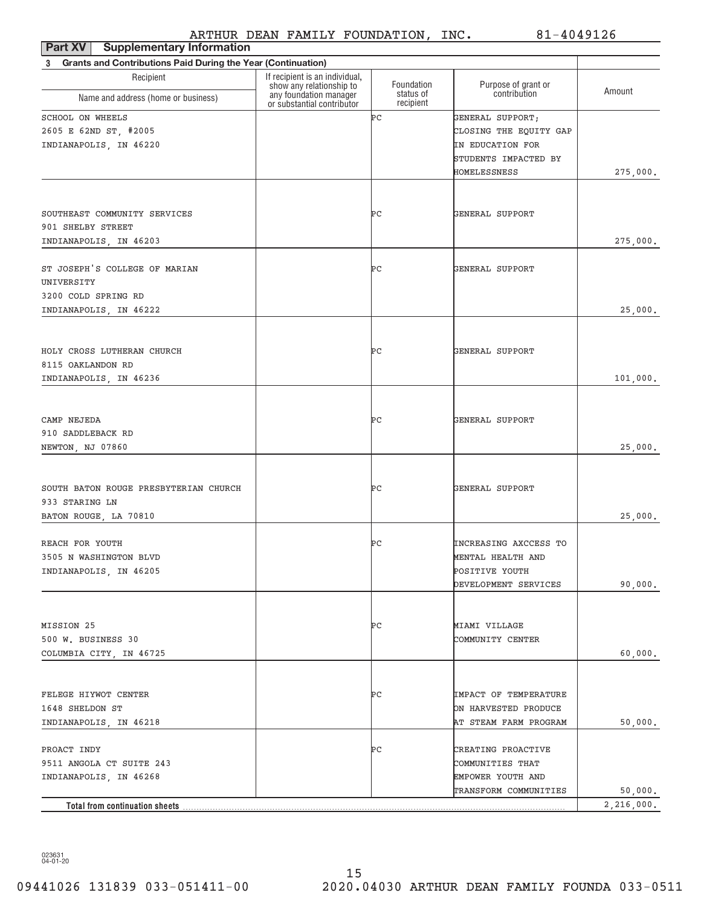| Part XV   Supplementary Information                                      |                                                            |                        |                        |            |
|--------------------------------------------------------------------------|------------------------------------------------------------|------------------------|------------------------|------------|
| <b>Grants and Contributions Paid During the Year (Continuation)</b><br>3 |                                                            |                        |                        |            |
| Recipient                                                                | If recipient is an individual,<br>show any relationship to | Foundation             | Purpose of grant or    |            |
| Name and address (home or business)                                      | any foundation manager<br>or substantial contributor       | status of<br>recipient | contribution           | Amount     |
| SCHOOL ON WHEELS                                                         |                                                            | ÞС                     | GENERAL SUPPORT;       |            |
| 2605 E 62ND ST, #2005                                                    |                                                            |                        | CLOSING THE EQUITY GAP |            |
| INDIANAPOLIS, IN 46220                                                   |                                                            |                        | IN EDUCATION FOR       |            |
|                                                                          |                                                            |                        | STUDENTS IMPACTED BY   |            |
|                                                                          |                                                            |                        | HOMELESSNESS           | 275,000.   |
|                                                                          |                                                            |                        |                        |            |
| SOUTHEAST COMMUNITY SERVICES                                             |                                                            | PС                     | GENERAL SUPPORT        |            |
| 901 SHELBY STREET                                                        |                                                            |                        |                        |            |
| INDIANAPOLIS, IN 46203                                                   |                                                            |                        |                        | 275,000.   |
| ST JOSEPH'S COLLEGE OF MARIAN                                            |                                                            | PС                     | GENERAL SUPPORT        |            |
| UNIVERSITY                                                               |                                                            |                        |                        |            |
| 3200 COLD SPRING RD                                                      |                                                            |                        |                        |            |
| INDIANAPOLIS, IN 46222                                                   |                                                            |                        |                        | 25,000.    |
|                                                                          |                                                            |                        |                        |            |
| HOLY CROSS LUTHERAN CHURCH                                               |                                                            | PС                     | GENERAL SUPPORT        |            |
| 8115 OAKLANDON RD                                                        |                                                            |                        |                        |            |
| INDIANAPOLIS, IN 46236                                                   |                                                            |                        |                        | 101,000.   |
|                                                                          |                                                            |                        |                        |            |
|                                                                          |                                                            |                        |                        |            |
| CAMP NEJEDA                                                              |                                                            | PС                     | GENERAL SUPPORT        |            |
| 910 SADDLEBACK RD<br>NEWTON, NJ 07860                                    |                                                            |                        |                        | 25,000.    |
|                                                                          |                                                            |                        |                        |            |
|                                                                          |                                                            |                        |                        |            |
| SOUTH BATON ROUGE PRESBYTERIAN CHURCH                                    |                                                            | PС                     | GENERAL SUPPORT        |            |
| 933 STARING LN                                                           |                                                            |                        |                        |            |
| BATON ROUGE, LA 70810                                                    |                                                            |                        |                        | 25,000.    |
| REACH FOR YOUTH                                                          |                                                            | ÞС                     | INCREASING AXCCESS TO  |            |
| 3505 N WASHINGTON BLVD                                                   |                                                            |                        | MENTAL HEALTH AND      |            |
| INDIANAPOLIS, IN 46205                                                   |                                                            |                        | POSITIVE YOUTH         |            |
|                                                                          |                                                            |                        | DEVELOPMENT SERVICES   | 90,000.    |
|                                                                          |                                                            |                        |                        |            |
| MISSION 25                                                               |                                                            | PС                     | MIAMI VILLAGE          |            |
| 500 W. BUSINESS 30                                                       |                                                            |                        | COMMUNITY CENTER       |            |
| COLUMBIA CITY, IN 46725                                                  |                                                            |                        |                        | 60,000.    |
|                                                                          |                                                            |                        |                        |            |
|                                                                          |                                                            |                        |                        |            |
| FELEGE HIYWOT CENTER                                                     |                                                            | PС                     | IMPACT OF TEMPERATURE  |            |
| 1648 SHELDON ST                                                          |                                                            |                        | ON HARVESTED PRODUCE   |            |
| INDIANAPOLIS, IN 46218                                                   |                                                            |                        | AT STEAM FARM PROGRAM  | 50,000.    |
| PROACT INDY                                                              |                                                            | ÞС                     | CREATING PROACTIVE     |            |
| 9511 ANGOLA CT SUITE 243                                                 |                                                            |                        | COMMUNITIES THAT       |            |
| INDIANAPOLIS, IN 46268                                                   |                                                            |                        | EMPOWER YOUTH AND      |            |
|                                                                          |                                                            |                        | TRANSFORM COMMUNITIES  | 50,000.    |
| Total from continuation sheets.                                          |                                                            |                        |                        | 2,216,000. |

023631 04+01+20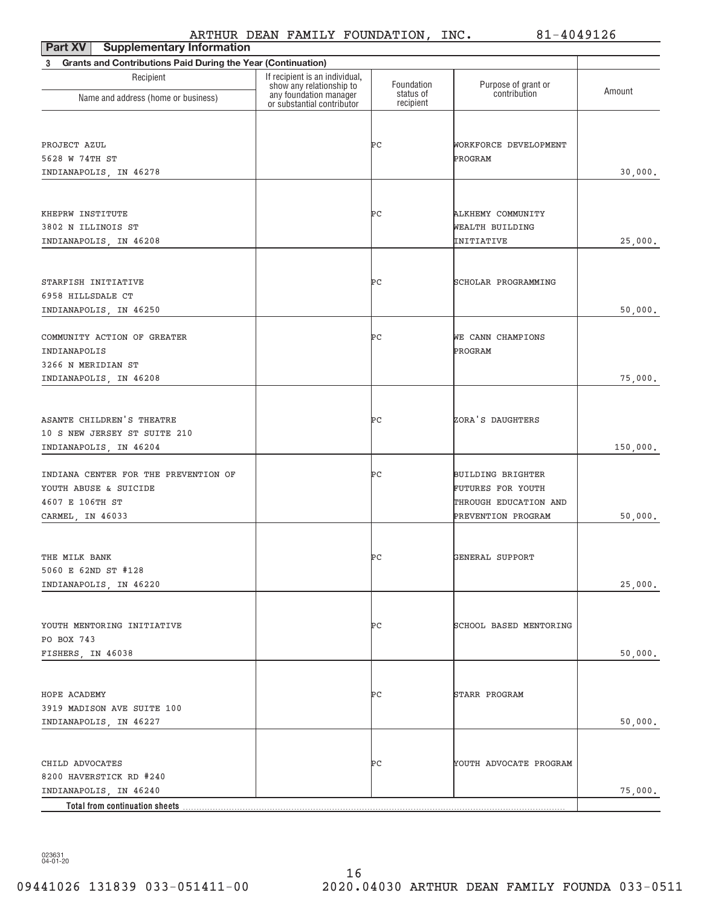| <b>Supplementary Information</b><br>Part XV                    |                                                            |                         |                                     |          |  |  |  |  |  |
|----------------------------------------------------------------|------------------------------------------------------------|-------------------------|-------------------------------------|----------|--|--|--|--|--|
| 3 Grants and Contributions Paid During the Year (Continuation) |                                                            |                         |                                     |          |  |  |  |  |  |
| Recipient                                                      | If recipient is an individual,<br>show any relationship to | Foundation<br>status of | Purpose of grant or<br>contribution | Amount   |  |  |  |  |  |
| Name and address (home or business)                            | any foundation manager<br>or substantial contributor       | recipient               |                                     |          |  |  |  |  |  |
|                                                                |                                                            |                         |                                     |          |  |  |  |  |  |
| PROJECT AZUL                                                   |                                                            | ÞС                      | WORKFORCE DEVELOPMENT               |          |  |  |  |  |  |
| 5628 W 74TH ST                                                 |                                                            |                         | PROGRAM                             |          |  |  |  |  |  |
| INDIANAPOLIS, IN 46278                                         |                                                            |                         |                                     | 30,000.  |  |  |  |  |  |
|                                                                |                                                            |                         |                                     |          |  |  |  |  |  |
| KHEPRW INSTITUTE                                               |                                                            | ÞС                      | ALKHEMY COMMUNITY                   |          |  |  |  |  |  |
| 3802 N ILLINOIS ST                                             |                                                            |                         | WEALTH BUILDING                     |          |  |  |  |  |  |
| INDIANAPOLIS, IN 46208                                         |                                                            |                         | INITIATIVE                          | 25,000.  |  |  |  |  |  |
|                                                                |                                                            |                         |                                     |          |  |  |  |  |  |
| STARFISH INITIATIVE                                            |                                                            | ÞС                      | SCHOLAR PROGRAMMING                 |          |  |  |  |  |  |
| 6958 HILLSDALE CT                                              |                                                            |                         |                                     |          |  |  |  |  |  |
| INDIANAPOLIS, IN 46250                                         |                                                            |                         |                                     | 50,000.  |  |  |  |  |  |
| COMMUNITY ACTION OF GREATER                                    |                                                            | ÞС                      | WE CANN CHAMPIONS                   |          |  |  |  |  |  |
| INDIANAPOLIS                                                   |                                                            |                         | PROGRAM                             |          |  |  |  |  |  |
| 3266 N MERIDIAN ST                                             |                                                            |                         |                                     |          |  |  |  |  |  |
| INDIANAPOLIS, IN 46208                                         |                                                            |                         |                                     | 75,000.  |  |  |  |  |  |
|                                                                |                                                            |                         |                                     |          |  |  |  |  |  |
| ASANTE CHILDREN'S THEATRE                                      |                                                            | ÞС                      | ZORA'S DAUGHTERS                    |          |  |  |  |  |  |
| 10 S NEW JERSEY ST SUITE 210                                   |                                                            |                         |                                     |          |  |  |  |  |  |
| INDIANAPOLIS, IN 46204                                         |                                                            |                         |                                     | 150,000. |  |  |  |  |  |
|                                                                |                                                            |                         |                                     |          |  |  |  |  |  |
| INDIANA CENTER FOR THE PREVENTION OF                           |                                                            | ÞС                      | <b>BUILDING BRIGHTER</b>            |          |  |  |  |  |  |
| YOUTH ABUSE & SUICIDE                                          |                                                            |                         | FUTURES FOR YOUTH                   |          |  |  |  |  |  |
| 4607 E 106TH ST                                                |                                                            |                         | THROUGH EDUCATION AND               |          |  |  |  |  |  |
| CARMEL, IN 46033                                               |                                                            |                         | PREVENTION PROGRAM                  | 50,000.  |  |  |  |  |  |
|                                                                |                                                            |                         |                                     |          |  |  |  |  |  |
| THE MILK BANK                                                  |                                                            | Þс                      | GENERAL SUPPORT                     |          |  |  |  |  |  |
| 5060 E 62ND ST #128                                            |                                                            |                         |                                     |          |  |  |  |  |  |
| INDIANAPOLIS, IN 46220                                         |                                                            |                         |                                     | 25,000.  |  |  |  |  |  |
|                                                                |                                                            |                         |                                     |          |  |  |  |  |  |
| YOUTH MENTORING INITIATIVE                                     |                                                            | ÞС                      | SCHOOL BASED MENTORING              |          |  |  |  |  |  |
| PO BOX 743                                                     |                                                            |                         |                                     |          |  |  |  |  |  |
| FISHERS, IN 46038                                              |                                                            |                         |                                     | 50,000.  |  |  |  |  |  |
|                                                                |                                                            |                         |                                     |          |  |  |  |  |  |
| HOPE ACADEMY                                                   |                                                            | ÞС                      | STARR PROGRAM                       |          |  |  |  |  |  |
| 3919 MADISON AVE SUITE 100                                     |                                                            |                         |                                     |          |  |  |  |  |  |
| INDIANAPOLIS, IN 46227                                         |                                                            |                         |                                     | 50,000.  |  |  |  |  |  |
|                                                                |                                                            |                         |                                     |          |  |  |  |  |  |
| CHILD ADVOCATES                                                |                                                            | ÞС                      | YOUTH ADVOCATE PROGRAM              |          |  |  |  |  |  |
| 8200 HAVERSTICK RD #240                                        |                                                            |                         |                                     |          |  |  |  |  |  |
| INDIANAPOLIS, IN 46240                                         |                                                            |                         |                                     | 75,000.  |  |  |  |  |  |
| Total from continuation sheets                                 |                                                            |                         |                                     |          |  |  |  |  |  |

023631 04+01+20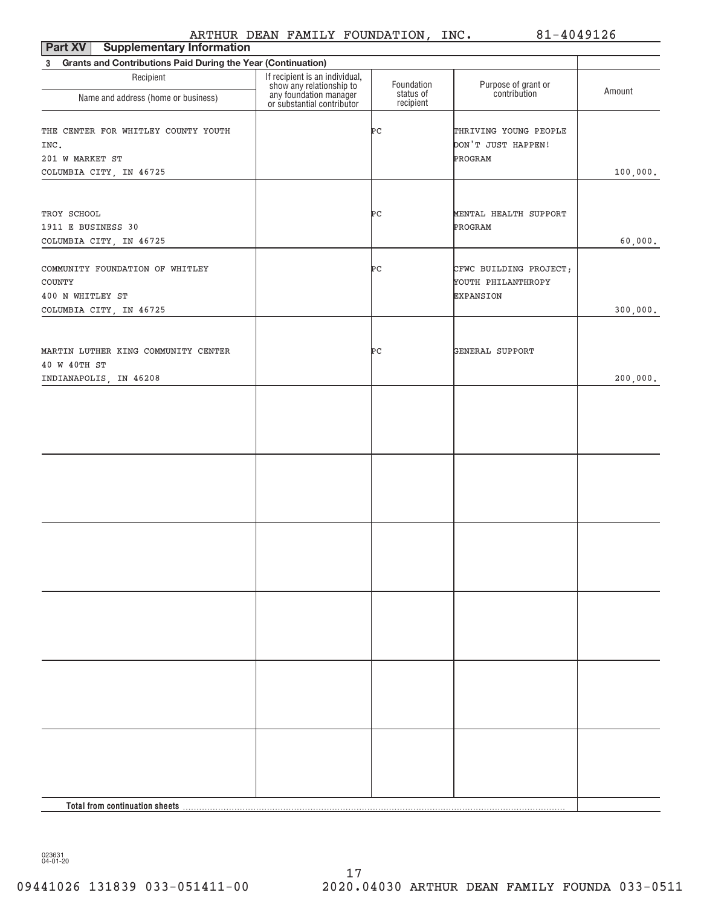| <b>Supplementary Information</b><br>Part XV                                                     |                                                                                                                    |                         |                                                                  |          |  |  |  |  |  |
|-------------------------------------------------------------------------------------------------|--------------------------------------------------------------------------------------------------------------------|-------------------------|------------------------------------------------------------------|----------|--|--|--|--|--|
| Grants and Contributions Paid During the Year (Continuation)<br>$3^{\circ}$                     |                                                                                                                    |                         |                                                                  |          |  |  |  |  |  |
| Recipient                                                                                       | If recipient is an individual,<br>show any relationship to<br>any foundation manager<br>or substantial contributor | Foundation<br>status of | Purpose of grant or<br>contribution                              | Amount   |  |  |  |  |  |
| Name and address (home or business)                                                             |                                                                                                                    | recipient               |                                                                  |          |  |  |  |  |  |
| THE CENTER FOR WHITLEY COUNTY YOUTH<br>INC.<br>201 W MARKET ST<br>COLUMBIA CITY, IN 46725       |                                                                                                                    | Þс                      | THRIVING YOUNG PEOPLE<br>DON'T JUST HAPPEN!<br>PROGRAM           | 100,000. |  |  |  |  |  |
| TROY SCHOOL<br>1911 E BUSINESS 30<br>COLUMBIA CITY, IN 46725                                    |                                                                                                                    | ÞС                      | MENTAL HEALTH SUPPORT<br>PROGRAM                                 | 60,000.  |  |  |  |  |  |
| COMMUNITY FOUNDATION OF WHITLEY<br><b>COUNTY</b><br>400 N WHITLEY ST<br>COLUMBIA CITY, IN 46725 |                                                                                                                    | ÞС                      | CFWC BUILDING PROJECT;<br>YOUTH PHILANTHROPY<br><b>EXPANSION</b> | 300,000. |  |  |  |  |  |
| MARTIN LUTHER KING COMMUNITY CENTER<br>40 W 40TH ST<br>INDIANAPOLIS, IN 46208                   |                                                                                                                    | ÞС                      | GENERAL SUPPORT                                                  | 200,000. |  |  |  |  |  |
|                                                                                                 |                                                                                                                    |                         |                                                                  |          |  |  |  |  |  |
|                                                                                                 |                                                                                                                    |                         |                                                                  |          |  |  |  |  |  |
|                                                                                                 |                                                                                                                    |                         |                                                                  |          |  |  |  |  |  |
|                                                                                                 |                                                                                                                    |                         |                                                                  |          |  |  |  |  |  |
|                                                                                                 |                                                                                                                    |                         |                                                                  |          |  |  |  |  |  |
|                                                                                                 |                                                                                                                    |                         |                                                                  |          |  |  |  |  |  |
| Total from continuation sheets                                                                  |                                                                                                                    |                         |                                                                  |          |  |  |  |  |  |

023631 04+01+20